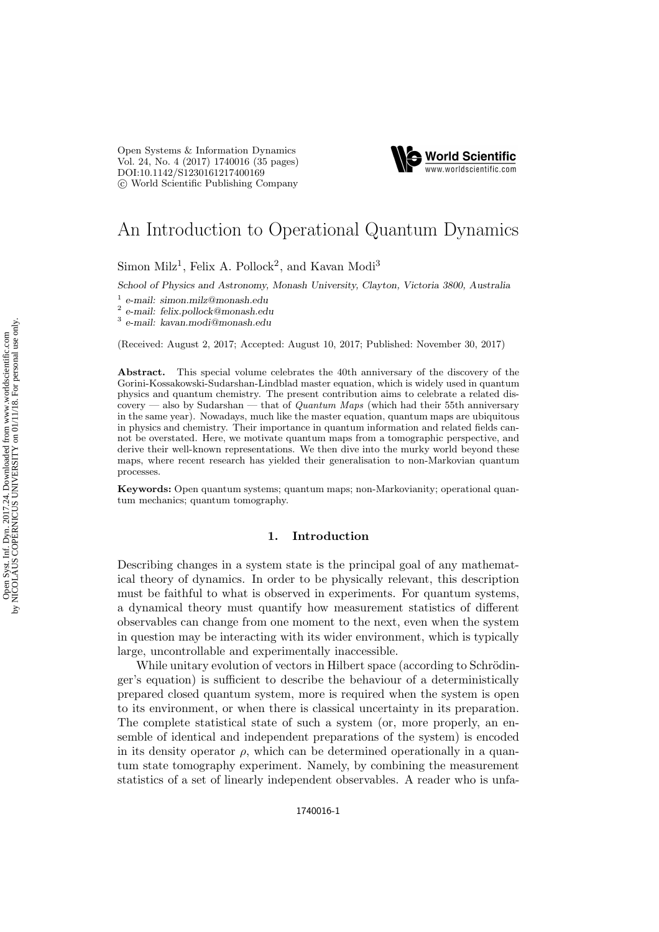Open Systems & Information Dynamics Vol. 24, No. 4 (2017) 1740016 (35 pages) [DOI:10.1142/S1230161217400169](http://dx.doi.org/10.1142/S1230161217400169) c World Scientific Publishing Company



# An Introduction to Operational Quantum Dynamics

Simon Milz<sup>1</sup>, Felix A. Pollock<sup>2</sup>, and Kavan Modi<sup>3</sup>

*School of Physics and Astronomy, Monash University, Clayton, Victoria 3800, Australia*

1 *e-mail: simon.milz@monash.edu*

2 *e-mail: felix.pollock@monash.edu*

3 *e-mail: kavan.modi@monash.edu*

(Received: August 2, 2017; Accepted: August 10, 2017; Published: November 30, 2017)

Abstract. This special volume celebrates the 40th anniversary of the discovery of the Gorini-Kossakowski-Sudarshan-Lindblad master equation, which is widely used in quantum physics and quantum chemistry. The present contribution aims to celebrate a related discovery — also by Sudarshan — that of Quantum Maps (which had their 55th anniversary in the same year). Nowadays, much like the master equation, quantum maps are ubiquitous in physics and chemistry. Their importance in quantum information and related fields cannot be overstated. Here, we motivate quantum maps from a tomographic perspective, and derive their well-known representations. We then dive into the murky world beyond these maps, where recent research has yielded their generalisation to non-Markovian quantum processes.

Keywords: Open quantum systems; quantum maps; non-Markovianity; operational quantum mechanics; quantum tomography.

## 1. Introduction

Describing changes in a system state is the principal goal of any mathematical theory of dynamics. In order to be physically relevant, this description must be faithful to what is observed in experiments. For quantum systems, a dynamical theory must quantify how measurement statistics of different observables can change from one moment to the next, even when the system in question may be interacting with its wider environment, which is typically large, uncontrollable and experimentally inaccessible.

While unitary evolution of vectors in Hilbert space (according to Schrödinger's equation) is sufficient to describe the behaviour of a deterministically prepared closed quantum system, more is required when the system is open to its environment, or when there is classical uncertainty in its preparation. The complete statistical state of such a system (or, more properly, an ensemble of identical and independent preparations of the system) is encoded in its density operator  $\rho$ , which can be determined operationally in a quantum state tomography experiment. Namely, by combining the measurement statistics of a set of linearly independent observables. A reader who is unfa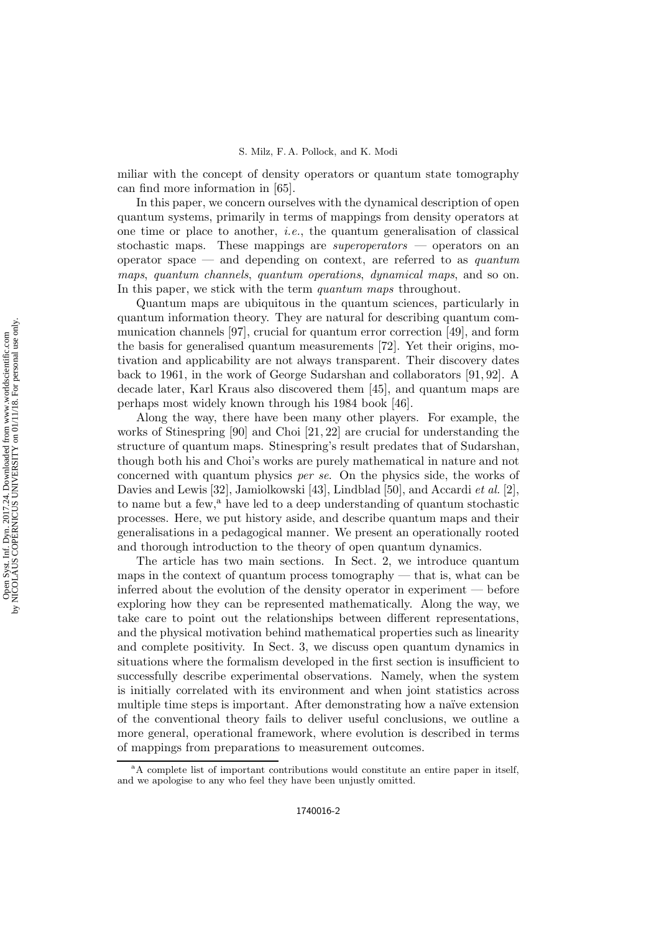miliar with the concept of density operators or quantum state tomography can find more information in [65].

In this paper, we concern ourselves with the dynamical description of open quantum systems, primarily in terms of mappings from density operators at one time or place to another, i.e., the quantum generalisation of classical stochastic maps. These mappings are superoperators — operators on an operator space — and depending on context, are referred to as  $quantum$ maps, quantum channels, quantum operations, dynamical maps, and so on. In this paper, we stick with the term *quantum maps* throughout.

Quantum maps are ubiquitous in the quantum sciences, particularly in quantum information theory. They are natural for describing quantum communication channels [97], crucial for quantum error correction [49], and form the basis for generalised quantum measurements [72]. Yet their origins, motivation and applicability are not always transparent. Their discovery dates back to 1961, in the work of George Sudarshan and collaborators [91, 92]. A decade later, Karl Kraus also discovered them [45], and quantum maps are perhaps most widely known through his 1984 book [46].

Along the way, there have been many other players. For example, the works of Stinespring [90] and Choi [21, 22] are crucial for understanding the structure of quantum maps. Stinespring's result predates that of Sudarshan, though both his and Choi's works are purely mathematical in nature and not concerned with quantum physics per se. On the physics side, the works of Davies and Lewis [32], Jamiolkowski [43], Lindblad [50], and Accardi et al. [2], to name but a few, $^a$  have led to a deep understanding of quantum stochastic processes. Here, we put history aside, and describe quantum maps and their generalisations in a pedagogical manner. We present an operationally rooted and thorough introduction to the theory of open quantum dynamics.

The article has two main sections. In Sect. 2, we introduce quantum maps in the context of quantum process tomography — that is, what can be inferred about the evolution of the density operator in experiment — before exploring how they can be represented mathematically. Along the way, we take care to point out the relationships between different representations, and the physical motivation behind mathematical properties such as linearity and complete positivity. In Sect. 3, we discuss open quantum dynamics in situations where the formalism developed in the first section is insufficient to successfully describe experimental observations. Namely, when the system is initially correlated with its environment and when joint statistics across multiple time steps is important. After demonstrating how a naïve extension of the conventional theory fails to deliver useful conclusions, we outline a more general, operational framework, where evolution is described in terms of mappings from preparations to measurement outcomes.

<sup>&</sup>lt;sup>a</sup>A complete list of important contributions would constitute an entire paper in itself, and we apologise to any who feel they have been unjustly omitted.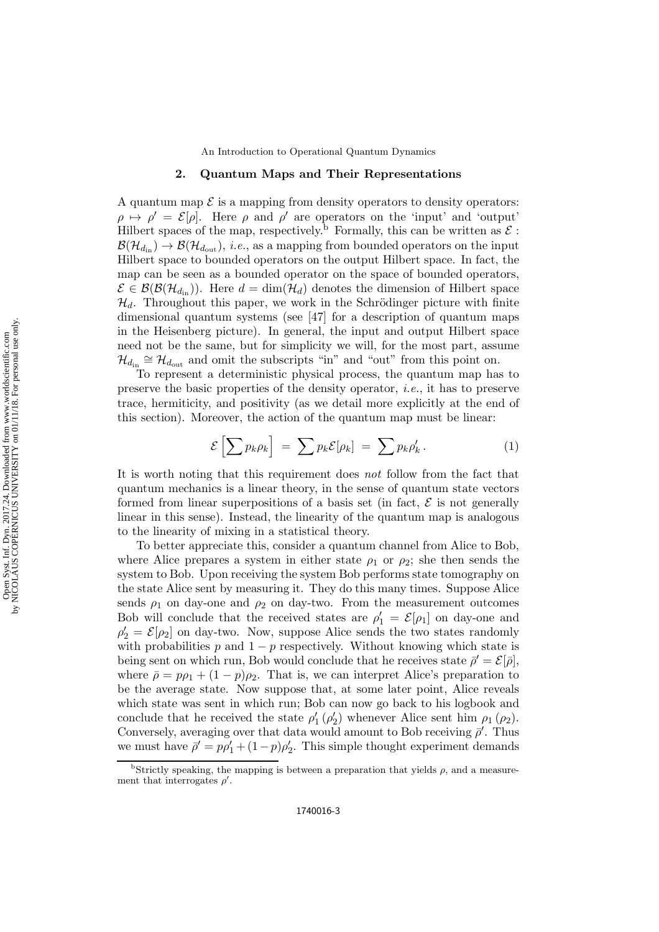## 2. Quantum Maps and Their Representations

A quantum map  $\mathcal E$  is a mapping from density operators to density operators:  $\rho \mapsto \rho' = \mathcal{E}[\rho].$  Here  $\rho$  and  $\rho'$  are operators on the 'input' and 'output' Hilbert spaces of the map, respectively.<sup>b</sup> Formally, this can be written as  $\mathcal{E}$ :  $\mathcal{B}(\mathcal{H}_{d_{\text{in}}}) \to \mathcal{B}(\mathcal{H}_{d_{\text{out}}}),$  *i.e.*, as a mapping from bounded operators on the input Hilbert space to bounded operators on the output Hilbert space. In fact, the map can be seen as a bounded operator on the space of bounded operators,  $\mathcal{E} \in \mathcal{B}(\mathcal{B}(\mathcal{H}_{d_{\text{in}}}))$ . Here  $d = \dim(\mathcal{H}_d)$  denotes the dimension of Hilbert space  $\mathcal{H}_d$ . Throughout this paper, we work in the Schrödinger picture with finite dimensional quantum systems (see [47] for a description of quantum maps in the Heisenberg picture). In general, the input and output Hilbert space need not be the same, but for simplicity we will, for the most part, assume  $\mathcal{H}_{d_{\text{in}}} \cong \mathcal{H}_{d_{\text{out}}}$  and omit the subscripts "in" and "out" from this point on.

To represent a deterministic physical process, the quantum map has to preserve the basic properties of the density operator, i.e., it has to preserve trace, hermiticity, and positivity (as we detail more explicitly at the end of this section). Moreover, the action of the quantum map must be linear:

$$
\mathcal{E}\left[\sum p_k \rho_k\right] = \sum p_k \mathcal{E}[\rho_k] = \sum p_k \rho'_k.
$$
 (1)

It is worth noting that this requirement does not follow from the fact that quantum mechanics is a linear theory, in the sense of quantum state vectors formed from linear superpositions of a basis set (in fact,  $\mathcal E$  is not generally linear in this sense). Instead, the linearity of the quantum map is analogous to the linearity of mixing in a statistical theory.

To better appreciate this, consider a quantum channel from Alice to Bob, where Alice prepares a system in either state  $\rho_1$  or  $\rho_2$ ; she then sends the system to Bob. Upon receiving the system Bob performs state tomography on the state Alice sent by measuring it. They do this many times. Suppose Alice sends  $\rho_1$  on day-one and  $\rho_2$  on day-two. From the measurement outcomes Bob will conclude that the received states are  $\rho'_1 = \mathcal{E}[\rho_1]$  on day-one and  $\rho'_2 = \mathcal{E}[\rho_2]$  on day-two. Now, suppose Alice sends the two states randomly with probabilities p and  $1 - p$  respectively. Without knowing which state is being sent on which run, Bob would conclude that he receives state  $\bar{\rho}' = \mathcal{E}[\bar{\rho}],$ where  $\bar{\rho} = p\rho_1 + (1 - p)\rho_2$ . That is, we can interpret Alice's preparation to be the average state. Now suppose that, at some later point, Alice reveals which state was sent in which run; Bob can now go back to his logbook and conclude that he received the state  $\rho'_1(\rho'_2)$  whenever Alice sent him  $\rho_1(\rho_2)$ . Conversely, averaging over that data would amount to Bob receiving  $\bar{\rho}'$ . Thus we must have  $\bar{\rho}' = p\rho'_1 + (1-p)\rho'_2$ . This simple thought experiment demands

<sup>&</sup>lt;sup>b</sup>Strictly speaking, the mapping is between a preparation that yields  $\rho$ , and a measurement that interrogates  $\rho'$ .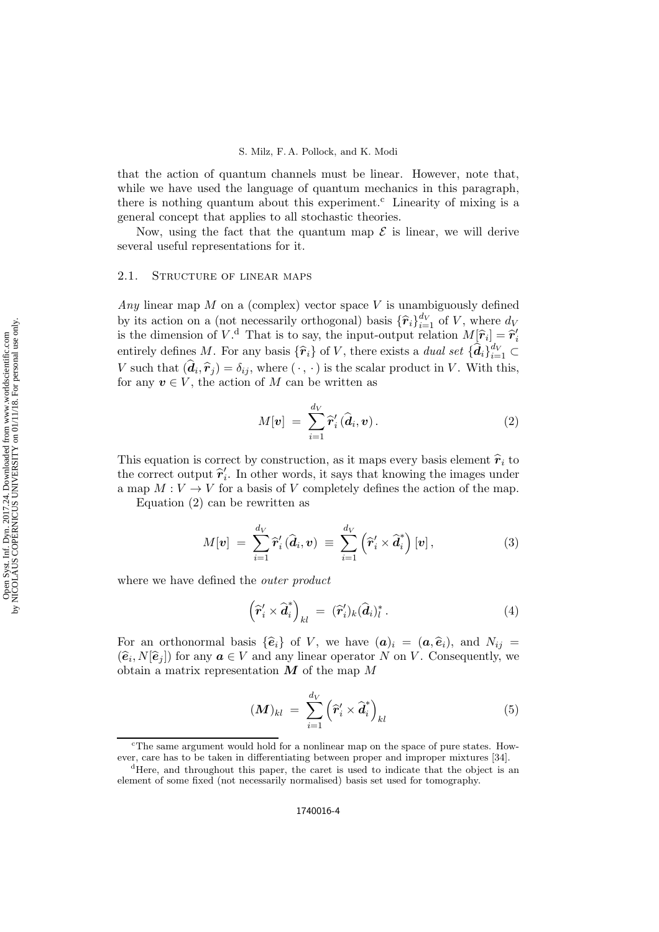that the action of quantum channels must be linear. However, note that, while we have used the language of quantum mechanics in this paragraph, there is nothing quantum about this experiment.<sup> $\rm c$ </sup> Linearity of mixing is a general concept that applies to all stochastic theories.

Now, using the fact that the quantum map  $\mathcal E$  is linear, we will derive several useful representations for it.

## 2.1. STRUCTURE OF LINEAR MAPS

Any linear map  $M$  on a (complex) vector space  $V$  is unambiguously defined by its action on a (not necessarily orthogonal) basis  ${\{\hat{r}_i\}}_{i=1}^{d_V}$  of V, where  $d_V$ is the dimension of  $V^{\mathcal{A}}$ . That is to say, the input-output relation  $M[\hat{r}_i] = \hat{r}'_i$ entirely defines M. For any basis  $\{\hat{\mathbf{r}}_i\}$  of V, there exists a dual set  $\{\hat{\mathbf{d}}_i\}_{i=1}^{d_V} \subset \mathbb{R}$ V such that  $(\mathbf{d}_i, \hat{\mathbf{r}}_j) = \delta_{ij}$ , where  $(\cdot, \cdot)$  is the scalar product in V. With this, for any  $v \in V$ , the action of M can be written as

$$
M[\boldsymbol{v}] = \sum_{i=1}^{d_V} \widehat{\boldsymbol{r}}'_i (\widehat{\boldsymbol{d}}_i, \boldsymbol{v}). \tag{2}
$$

This equation is correct by construction, as it maps every basis element  $\hat{r}_i$  to the correct output  $\hat{\mathbf{r}}'_i$ . In other words, it says that knowing the images under a map  $M: V \to V$  for a basis of V completely defines the action of the map.

Equation (2) can be rewritten as

$$
M[\boldsymbol{v}] = \sum_{i=1}^{d_V} \widehat{\boldsymbol{r}}'_i (\widehat{\boldsymbol{d}}_i, \boldsymbol{v}) \equiv \sum_{i=1}^{d_V} \left( \widehat{\boldsymbol{r}}'_i \times \widehat{\boldsymbol{d}}_i^* \right) [\boldsymbol{v}], \qquad (3)
$$

where we have defined the *outer product* 

$$
\left(\widehat{\boldsymbol{r}}'_i \times \widehat{\boldsymbol{d}}_i^*\right)_{kl} = \left(\widehat{\boldsymbol{r}}'_i\right)_k \left(\widehat{\boldsymbol{d}}_i\right)_l^*.
$$
\n(4)

For an orthonormal basis  $\{\hat{e}_i\}$  of V, we have  $(a)_i = (a, \hat{e}_i)$ , and  $N_{ij} =$  $(\widehat{\mathbf{e}}_i, N[\widehat{\mathbf{e}}_j])$  for any  $\mathbf{a} \in V$  and any linear operator N on V. Consequently, we obtain a matrix representation  $\boldsymbol{M}$  of the map  $\boldsymbol{M}$ 

$$
(\boldsymbol{M})_{kl} = \sum_{i=1}^{d_V} \left(\widehat{\boldsymbol{r}}'_i \times \widehat{\boldsymbol{d}}_i^*\right)_{kl} \tag{5}
$$

 $\rm^c$ The same argument would hold for a nonlinear map on the space of pure states. However, care has to be taken in differentiating between proper and improper mixtures [34].

<sup>&</sup>lt;sup>d</sup>Here, and throughout this paper, the caret is used to indicate that the object is an element of some fixed (not necessarily normalised) basis set used for tomography.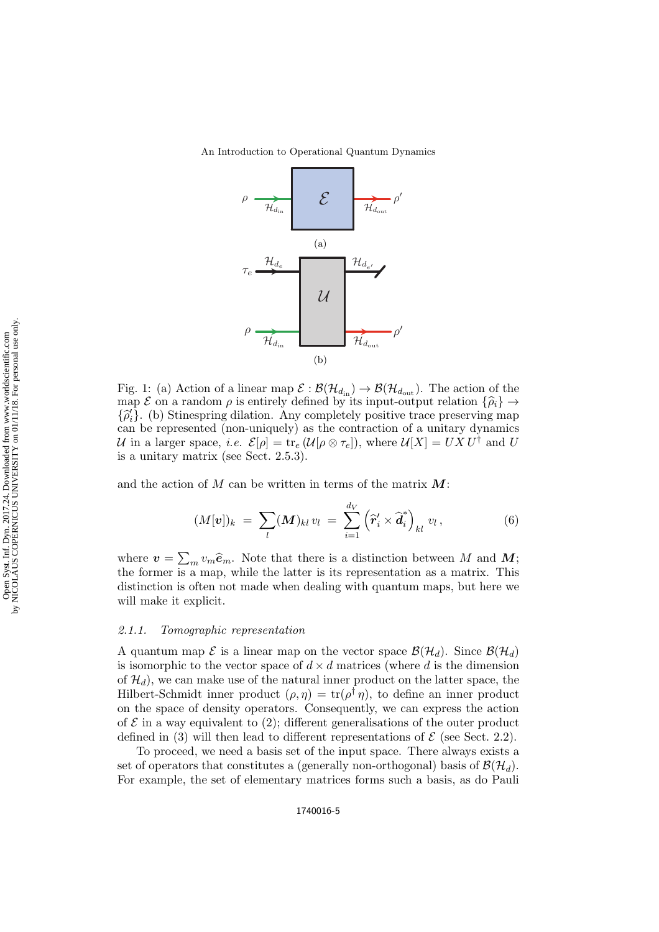An Introduction to Operational Quantum Dynamics



Fig. 1: (a) Action of a linear map  $\mathcal{E} : \mathcal{B}(\mathcal{H}_{d_{\text{in}}}) \to \mathcal{B}(\mathcal{H}_{d_{\text{out}}})$ . The action of the map  $\mathcal E$  on a random  $\rho$  is entirely defined by its input-output relation  $\{\hat{\rho}_i\} \rightarrow$  ${\{\hat{\rho}_i'\}}$ . (b) Stinespring dilation. Any completely positive trace preserving map can be represented (non-uniquely) as the contraction of a unitary dynamics U in a larger space, i.e.  $\mathcal{E}[\rho] = \text{tr}_e(\mathcal{U}[\rho \otimes \tau_e]),$  where  $\mathcal{U}[X] = U X U^{\dagger}$  and U is a unitary matrix (see Sect. 2.5.3).

and the action of  $M$  can be written in terms of the matrix  $M$ :

$$
(M[\boldsymbol{v}])_k \ = \ \sum_l (\boldsymbol{M})_{kl} \, v_l \ = \ \sum_{i=1}^{d_V} \left( \widehat{\boldsymbol{r}}'_i \times \widehat{\boldsymbol{d}}_i^* \right)_{kl} \, v_l \,, \tag{6}
$$

where  $\mathbf{v} = \sum_m v_m \hat{\mathbf{e}}_m$ . Note that there is a distinction between M and M; the former is a map, while the latter is its representation as a matrix. This distinction is often not made when dealing with quantum maps, but here we will make it explicit.

#### 2.1.1. Tomographic representation

A quantum map  $\mathcal E$  is a linear map on the vector space  $\mathcal B(\mathcal H_d)$ . Since  $\mathcal B(\mathcal H_d)$ is isomorphic to the vector space of  $d \times d$  matrices (where d is the dimension of  $\mathcal{H}_d$ , we can make use of the natural inner product on the latter space, the Hilbert-Schmidt inner product  $(\rho, \eta) = \text{tr}(\rho^{\dagger} \eta)$ , to define an inner product on the space of density operators. Consequently, we can express the action of  $\mathcal E$  in a way equivalent to (2); different generalisations of the outer product defined in (3) will then lead to different representations of  $\mathcal E$  (see Sect. 2.2).

To proceed, we need a basis set of the input space. There always exists a set of operators that constitutes a (generally non-orthogonal) basis of  $\mathcal{B}(\mathcal{H}_d)$ . For example, the set of elementary matrices forms such a basis, as do Pauli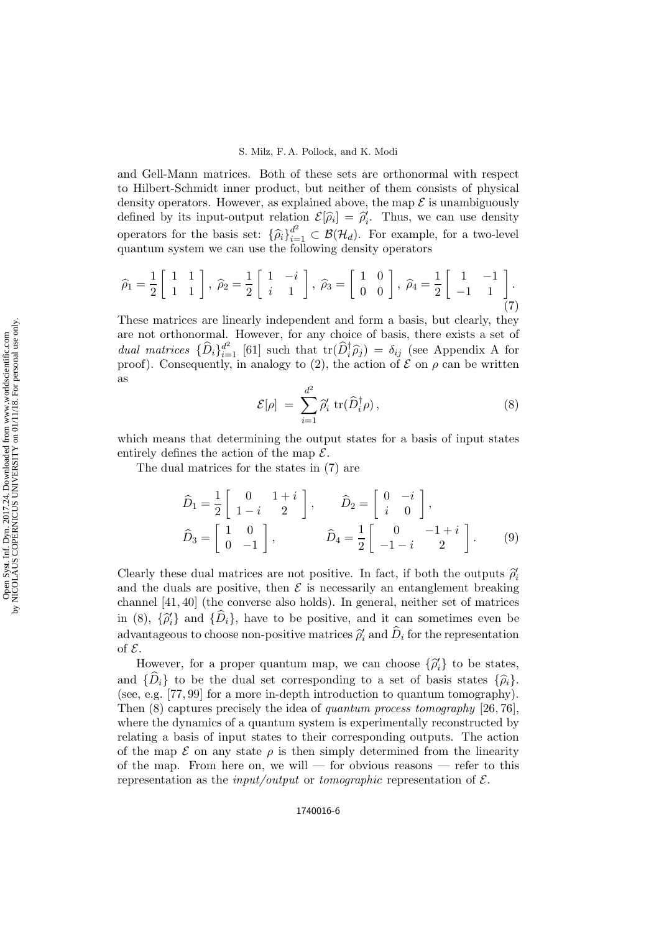and Gell-Mann matrices. Both of these sets are orthonormal with respect to Hilbert-Schmidt inner product, but neither of them consists of physical density operators. However, as explained above, the map  $\mathcal E$  is unambiguously defined by its input-output relation  $\mathcal{E}[\hat{\rho}_i] = \hat{\rho}'_i$ . Thus, we can use density operators for the basis set:  $\{\hat{\rho}_i\}_{i=1}^{d^2} \subset \mathcal{B}(\mathcal{H}_d)$ . For example, for a two-level quantum system we can use the following density operators

$$
\widehat{\rho}_1 = \frac{1}{2} \begin{bmatrix} 1 & 1 \\ 1 & 1 \end{bmatrix}, \ \widehat{\rho}_2 = \frac{1}{2} \begin{bmatrix} 1 & -i \\ i & 1 \end{bmatrix}, \ \widehat{\rho}_3 = \begin{bmatrix} 1 & 0 \\ 0 & 0 \end{bmatrix}, \ \widehat{\rho}_4 = \frac{1}{2} \begin{bmatrix} 1 & -1 \\ -1 & 1 \end{bmatrix}.
$$
\n(7)

These matrices are linearly independent and form a basis, but clearly, they are not orthonormal. However, for any choice of basis, there exists a set of dual matrices  $\{\widehat{D}_i\}_{i=1}^{d^2}$  [61] such that  $\text{tr}(\widehat{D}_i^{\dagger}\widehat{\rho}_j) = \delta_{ij}$  (see Appendix A for proof). Consequently, in analogy to (2), the action of  $\mathcal E$  on  $\rho$  can be written as

$$
\mathcal{E}[\rho] = \sum_{i=1}^{d^2} \hat{\rho}'_i \operatorname{tr}(\hat{D}_i^{\dagger} \rho), \qquad (8)
$$

which means that determining the output states for a basis of input states entirely defines the action of the map  $\mathcal{E}$ .

The dual matrices for the states in (7) are

$$
\widehat{D}_1 = \frac{1}{2} \begin{bmatrix} 0 & 1+i \\ 1-i & 2 \end{bmatrix}, \qquad \widehat{D}_2 = \begin{bmatrix} 0 & -i \\ i & 0 \end{bmatrix},
$$
  

$$
\widehat{D}_3 = \begin{bmatrix} 1 & 0 \\ 0 & -1 \end{bmatrix}, \qquad \widehat{D}_4 = \frac{1}{2} \begin{bmatrix} 0 & -1+i \\ -1-i & 2 \end{bmatrix}.
$$
 (9)

Clearly these dual matrices are not positive. In fact, if both the outputs  $\hat{\rho}'_i$ and the duals are positive, then  $\mathcal E$  is necessarily an entanglement breaking channel [41, 40] (the converse also holds). In general, neither set of matrices in (8),  $\{\hat{\rho}'_i\}$  and  $\{D_i\}$ , have to be positive, and it can sometimes even be advantageous to choose non-positive matrices  $\hat{\rho}'_i$  and  $D_i$  for the representation of  $\mathcal{E}$ .

However, for a proper quantum map, we can choose  $\{\hat{\rho}_i'\}$  to be states, and  $\{\widehat{D}_i\}$  to be the dual set corresponding to a set of basis states  $\{\widehat{\rho}_i\}.$ (see, e.g. [77, 99] for a more in-depth introduction to quantum tomography). Then (8) captures precisely the idea of quantum process tomography [26, 76], where the dynamics of a quantum system is experimentally reconstructed by relating a basis of input states to their corresponding outputs. The action of the map  $\mathcal E$  on any state  $\rho$  is then simply determined from the linearity of the map. From here on, we will — for obvious reasons — refer to this representation as the *input/output* or *tomographic* representation of  $\mathcal{E}$ .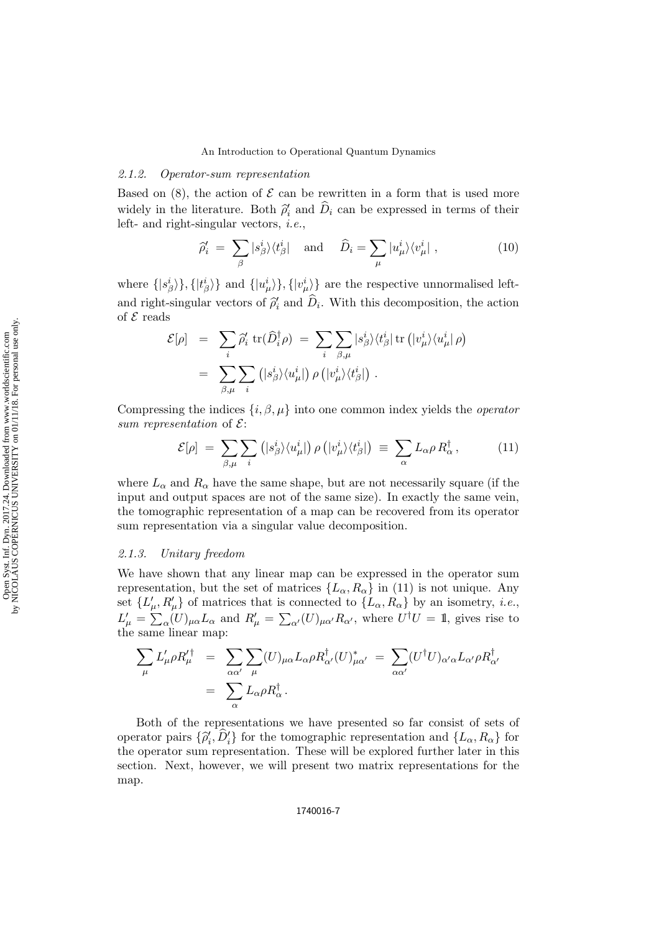## 2.1.2. Operator-sum representation

Based on  $(8)$ , the action of  $\mathcal E$  can be rewritten in a form that is used more widely in the literature. Both  $\hat{\rho}'_i$  and  $D_i$  can be expressed in terms of their left- and right-singular vectors, i.e.,

$$
\widehat{\rho}'_i \ = \ \sum_{\beta} |s^i_{\beta}\rangle\langle t^i_{\beta}| \quad \text{and} \quad \widehat{D}_i = \sum_{\mu} |u^i_{\mu}\rangle\langle v^i_{\mu}| \ , \tag{10}
$$

where  $\{|s^i_\beta\rangle\},\{|t^i_\beta\rangle\}$  and  $\{|u^i_\mu\rangle\},\{|v^i_\mu\rangle\}$  are the respective unnormalised leftand right-singular vectors of  $\hat{\rho}'_i$  and  $D_i$ . With this decomposition, the action of  $\mathcal E$  reads

$$
\mathcal{E}[\rho] = \sum_{i} \widehat{\rho}'_i \operatorname{tr}(\widehat{D}_i^{\dagger} \rho) = \sum_{i} \sum_{\beta,\mu} |s_{\beta}^{i}\rangle \langle t_{\beta}^{i} | \operatorname{tr} (|v_{\mu}^{i}\rangle \langle u_{\mu}^{i} | \rho)
$$
  

$$
= \sum_{\beta,\mu} \sum_{i} (|s_{\beta}^{i}\rangle \langle u_{\mu}^{i}|) \rho (|v_{\mu}^{i}\rangle \langle t_{\beta}^{i}|) .
$$

Compressing the indices  $\{i, \beta, \mu\}$  into one common index yields the *operator* sum representation of  $\mathcal{E}$ :

$$
\mathcal{E}[\rho] = \sum_{\beta,\mu} \sum_{i} (|s_{\beta}^{i}\rangle\langle u_{\mu}^{i}|) \rho (|v_{\mu}^{i}\rangle\langle t_{\beta}^{i}|) \equiv \sum_{\alpha} L_{\alpha} \rho R_{\alpha}^{\dagger}, \qquad (11)
$$

where  $L_{\alpha}$  and  $R_{\alpha}$  have the same shape, but are not necessarily square (if the input and output spaces are not of the same size). In exactly the same vein, the tomographic representation of a map can be recovered from its operator sum representation via a singular value decomposition.

# 2.1.3. Unitary freedom

We have shown that any linear map can be expressed in the operator sum representation, but the set of matrices  $\{L_{\alpha}, R_{\alpha}\}\$ in (11) is not unique. Any set  $\{L_{\mu}, R_{\mu}'\}$  of matrices that is connected to  $\{L_{\alpha}, R_{\alpha}\}\$  by an isometry, *i.e.*,  $L'_{\mu} = \sum_{\alpha} (U)_{\mu\alpha} L_{\alpha}$  and  $R'_{\mu} = \sum_{\alpha'} (U)_{\mu\alpha'} R_{\alpha'}$ , where  $U^{\dagger} U = \mathbb{1}$ , gives rise to the same linear map:

$$
\sum_{\mu} L'_{\mu} \rho R'^{\dagger}_{\mu} = \sum_{\alpha \alpha'} \sum_{\mu} (U)_{\mu \alpha} L_{\alpha} \rho R^{\dagger}_{\alpha'} (U)^{*}_{\mu \alpha'} = \sum_{\alpha \alpha'} (U^{\dagger} U)_{\alpha' \alpha} L_{\alpha'} \rho R^{\dagger}_{\alpha'}
$$

$$
= \sum_{\alpha} L_{\alpha} \rho R^{\dagger}_{\alpha}.
$$

Both of the representations we have presented so far consist of sets of operator pairs  $\{\hat{\rho}'_i, D'_i\}$  for the tomographic representation and  $\{L_\alpha, R_\alpha\}$  for the operator sum representation. These will be explored further later in this section. Next, however, we will present two matrix representations for the map.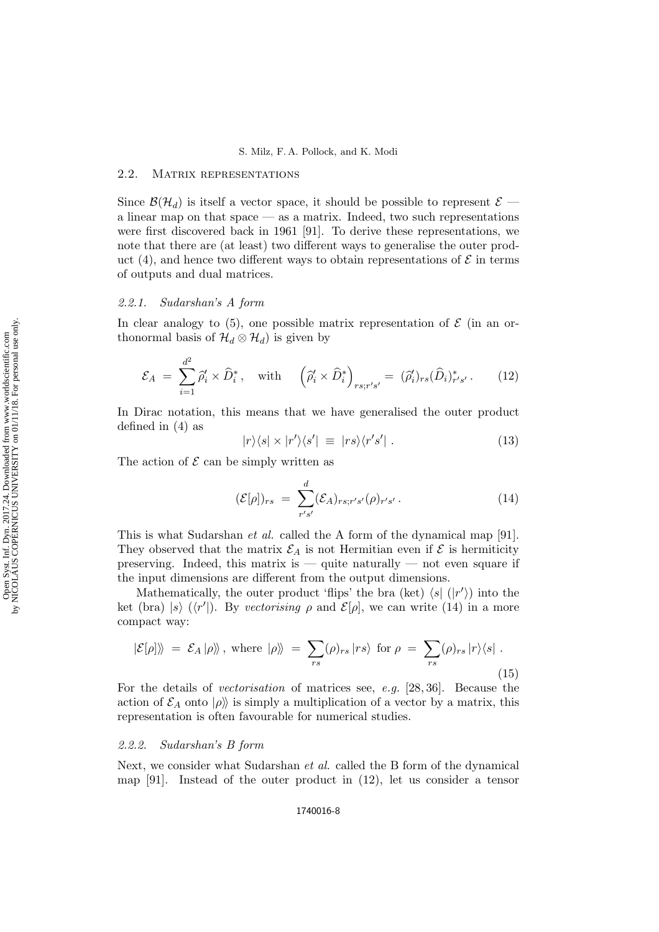# 2.2. Matrix representations

Since  $\mathcal{B}(\mathcal{H}_d)$  is itself a vector space, it should be possible to represent  $\mathcal{E}$  a linear map on that space — as a matrix. Indeed, two such representations were first discovered back in 1961 [91]. To derive these representations, we note that there are (at least) two different ways to generalise the outer product (4), and hence two different ways to obtain representations of  $\mathcal E$  in terms of outputs and dual matrices.

## 2.2.1. Sudarshan's A form

In clear analogy to (5), one possible matrix representation of  $\mathcal E$  (in an orthonormal basis of  $\mathcal{H}_d \otimes \mathcal{H}_d$ ) is given by

$$
\mathcal{E}_A = \sum_{i=1}^{d^2} \widehat{\rho}'_i \times \widehat{D}_i^*, \quad \text{with} \quad \left(\widehat{\rho}'_i \times \widehat{D}_i^*\right)_{rs;r's'} = (\widehat{\rho}'_i)_{rs} (\widehat{D}_i)_{r's'}^*.
$$
 (12)

In Dirac notation, this means that we have generalised the outer product defined in (4) as

$$
|r\rangle\langle s| \times |r'\rangle\langle s'| \equiv |rs\rangle\langle r's'| \ . \tag{13}
$$

The action of  $\mathcal E$  can be simply written as

$$
(\mathcal{E}[\rho])_{rs} = \sum_{r's'}^{d} (\mathcal{E}_A)_{rs;r's'}(\rho)_{r's'}.
$$
 (14)

This is what Sudarshan et al. called the A form of the dynamical map [91]. They observed that the matrix  $\mathcal{E}_A$  is not Hermitian even if  $\mathcal E$  is hermiticity preserving. Indeed, this matrix is — quite naturally — not even square if the input dimensions are different from the output dimensions.

Mathematically, the outer product 'flips' the bra (ket)  $\langle s | (r') \rangle$  into the ket (bra) |s\ ( $\langle r' \rangle$ ). By vectorising  $\rho$  and  $\mathcal{E}[\rho]$ , we can write (14) in a more compact way:

$$
|\mathcal{E}[\rho]\rangle\!\rangle = \mathcal{E}_A|\rho\rangle\!\rangle, \text{ where } |\rho\rangle\!\rangle = \sum_{rs} (\rho)_{rs} |rs\rangle \text{ for } \rho = \sum_{rs} (\rho)_{rs} |r\rangle\langle s|.
$$
 (15)

For the details of vectorisation of matrices see, e.g. [28, 36]. Because the action of  $\mathcal{E}_A$  onto  $|\rho\rangle$  is simply a multiplication of a vector by a matrix, this representation is often favourable for numerical studies.

# 2.2.2. Sudarshan's B form

Next, we consider what Sudarshan et al. called the B form of the dynamical map [91]. Instead of the outer product in (12), let us consider a tensor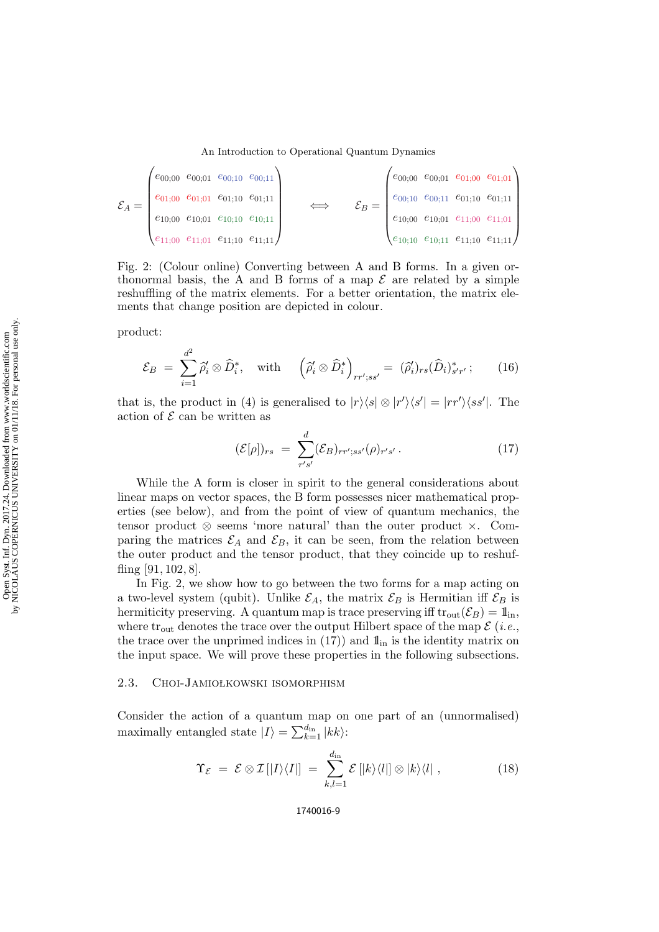An Introduction to Operational Quantum Dynamics

|  |                                                                               |  | $e_{00;00}$ $e_{00;01}$ $e_{00;10}$ $e_{00;11}$ | $\mathcal{E}_B =$ |  | $e_{00;00}$ $e_{00;01}$ $e_{01;00}$ $e_{01;01}$                               |
|--|-------------------------------------------------------------------------------|--|-------------------------------------------------|-------------------|--|-------------------------------------------------------------------------------|
|  | $e_{01;00}$ $e_{01;01}$ $e_{01;10}$ $e_{01;11}$                               |  |                                                 |                   |  | $e_{00;10}$ $e_{00;11}$ $e_{01;10}$ $e_{01;11}$                               |
|  | $e_{10;00}$ $e_{10;01}$ $e_{10;10}$ $e_{10;11}$                               |  |                                                 |                   |  | $\begin{bmatrix} e_{10;00} & e_{10;01} & e_{11;00} & e_{11;01} \end{bmatrix}$ |
|  | $\begin{pmatrix} e_{11;00} & e_{11;01} & e_{11;10} & e_{11;11} \end{pmatrix}$ |  |                                                 |                   |  | $\begin{pmatrix} e_{10;10} & e_{10;11} & e_{11;10} & e_{11;11} \end{pmatrix}$ |

Fig. 2: (Colour online) Converting between A and B forms. In a given orthonormal basis, the A and B forms of a map  $\mathcal E$  are related by a simple reshuffling of the matrix elements. For a better orientation, the matrix elements that change position are depicted in colour.

product:

$$
\mathcal{E}_B = \sum_{i=1}^{d^2} \widehat{\rho}'_i \otimes \widehat{D}_i^*, \quad \text{with} \quad \left(\widehat{\rho}'_i \otimes \widehat{D}_i^*\right)_{rr';ss'} = (\widehat{\rho}'_i)_{rs} (\widehat{D}_i)_{s'r'}^*; \tag{16}
$$

that is, the product in (4) is generalised to  $|r\rangle\langle s| \otimes |r'\rangle\langle s'| = |rr'\rangle\langle ss'|$ . The action of  $\mathcal E$  can be written as

$$
(\mathcal{E}[\rho])_{rs} = \sum_{r's'}^{d} (\mathcal{E}_B)_{rr';ss'}(\rho)_{r's'}.
$$
 (17)

While the A form is closer in spirit to the general considerations about linear maps on vector spaces, the B form possesses nicer mathematical properties (see below), and from the point of view of quantum mechanics, the tensor product  $\otimes$  seems 'more natural' than the outer product  $\times$ . Comparing the matrices  $\mathcal{E}_A$  and  $\mathcal{E}_B$ , it can be seen, from the relation between the outer product and the tensor product, that they coincide up to reshuffling [91, 102, 8].

In Fig. 2, we show how to go between the two forms for a map acting on a two-level system (qubit). Unlike  $\mathcal{E}_A$ , the matrix  $\mathcal{E}_B$  is Hermitian iff  $\mathcal{E}_B$  is hermiticity preserving. A quantum map is trace preserving iff  $\text{tr}_{\text{out}}(\mathcal{E}_B) = 1\text{ln}$ , where tr<sub>out</sub> denotes the trace over the output Hilbert space of the map  $\mathcal{E}$  (*i.e.*, the trace over the unprimed indices in  $(17)$  and  $\mathbb{1}_{\text{in}}$  is the identity matrix on the input space. We will prove these properties in the following subsections.

# 2.3. CHOI-JAMIOŁKOWSKI ISOMORPHISM

Consider the action of a quantum map on one part of an (unnormalised) maximally entangled state  $|I\rangle = \sum_{k=1}^{d_{\text{in}}} |kk\rangle$ :

$$
\Upsilon_{\mathcal{E}} = \mathcal{E} \otimes \mathcal{I} \left[ |I\rangle\langle I| \right] = \sum_{k,l=1}^{d_{\text{in}}} \mathcal{E} \left[ |k\rangle\langle l| \right] \otimes |k\rangle\langle l| \,, \tag{18}
$$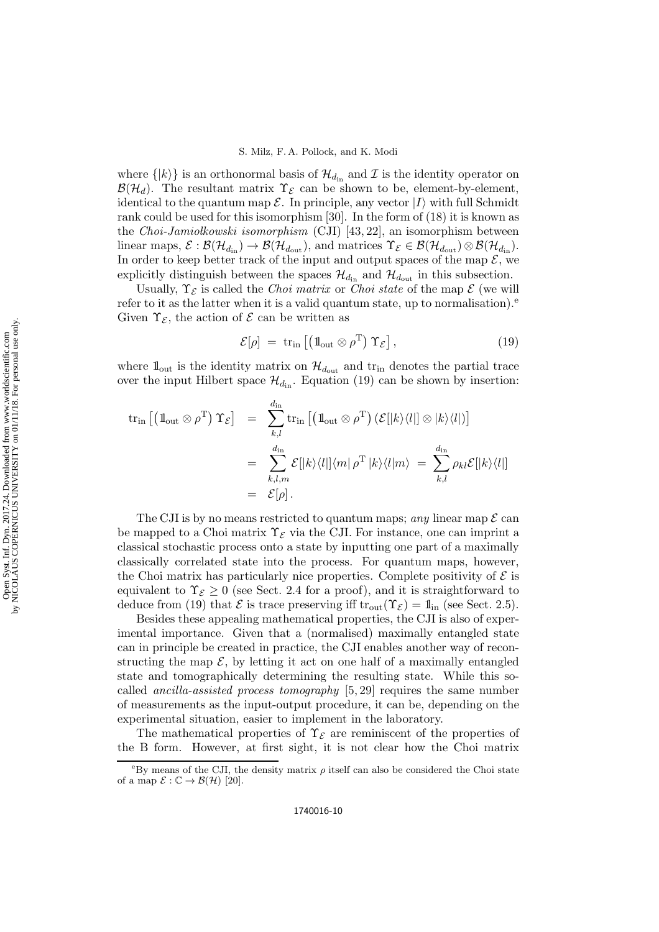where  $\{|k\rangle\}$  is an orthonormal basis of  $\mathcal{H}_{d_{in}}$  and  $\mathcal I$  is the identity operator on  $\mathcal{B}(\mathcal{H}_d)$ . The resultant matrix  $\Upsilon_{\mathcal{E}}$  can be shown to be, element-by-element, identical to the quantum map  $\mathcal E$ . In principle, any vector  $|I\rangle$  with full Schmidt rank could be used for this isomorphism [30]. In the form of (18) it is known as the *Choi-Jamiolkowski isomorphism* (CJI)  $[43, 22]$ , an isomorphism between linear maps,  $\mathcal{E} : \mathcal{B}(\mathcal{H}_{d_{\text{in}}}) \to \mathcal{B}(\mathcal{H}_{d_{\text{out}}})$ , and matrices  $\Upsilon_{\mathcal{E}} \in \mathcal{B}(\mathcal{H}_{d_{\text{out}}}) \otimes \mathcal{B}(\mathcal{H}_{d_{\text{in}}})$ . In order to keep better track of the input and output spaces of the map  $\mathcal{E}$ , we explicitly distinguish between the spaces  $\mathcal{H}_{d_{\text{in}}}$  and  $\mathcal{H}_{d_{\text{out}}}$  in this subsection.

Usually,  $\Upsilon_{\mathcal{E}}$  is called the *Choi matrix* or *Choi state* of the map  $\mathcal{E}$  (we will refer to it as the latter when it is a valid quantum state, up to normalisation).<sup>e</sup> Given  $\Upsilon_{\mathcal{E}}$ , the action of  $\mathcal{E}$  can be written as

$$
\mathcal{E}[\rho] = \text{tr}_{\text{in}} \left[ \left( \mathbb{1}_{\text{out}} \otimes \rho^{\text{T}} \right) \Upsilon_{\mathcal{E}} \right], \tag{19}
$$

where  $\mathbb{1}_{\text{out}}$  is the identity matrix on  $\mathcal{H}_{d_{\text{out}}}$  and  $\text{tr}_{\text{in}}$  denotes the partial trace over the input Hilbert space  $\mathcal{H}_{d_{\text{in}}}$ . Equation (19) can be shown by insertion:

$$
\begin{array}{rcl} \n\text{tr}_{\text{in}} \left[ \left( \mathbb{1}_{\text{out}} \otimes \rho^{\text{T}} \right) \Upsilon_{\mathcal{E}} \right] & = & \sum_{k,l}^{d_{\text{in}}} \text{tr}_{\text{in}} \left[ \left( \mathbb{1}_{\text{out}} \otimes \rho^{\text{T}} \right) \left( \mathcal{E} [|k\rangle\langle l|] \otimes |k\rangle\langle l| \right) \right] \\ \n& = & \sum_{k,l,m}^{d_{\text{in}}} \mathcal{E} [|k\rangle\langle l|] \langle m| \, \rho^{\text{T}} \, |k\rangle\langle l| m\rangle \ = & \sum_{k,l}^{d_{\text{in}}} \rho_{kl} \mathcal{E} [|k\rangle\langle l|] \\ \n& = & \mathcal{E}[\rho] \, .\n\end{array}
$$

The CJI is by no means restricted to quantum maps; any linear map  $\mathcal E$  can be mapped to a Choi matrix  $\Upsilon_{\mathcal{E}}$  via the CJI. For instance, one can imprint a classical stochastic process onto a state by inputting one part of a maximally classically correlated state into the process. For quantum maps, however, the Choi matrix has particularly nice properties. Complete positivity of  $\mathcal E$  is equivalent to  $\Upsilon_{\mathcal{E}} \geq 0$  (see Sect. 2.4 for a proof), and it is straightforward to deduce from (19) that  $\mathcal E$  is trace preserving iff  $\text{tr}_{\text{out}}(\Upsilon_{\mathcal E}) = \mathbb{1}_{\text{in}}$  (see Sect. 2.5).

Besides these appealing mathematical properties, the CJI is also of experimental importance. Given that a (normalised) maximally entangled state can in principle be created in practice, the CJI enables another way of reconstructing the map  $\mathcal{E}$ , by letting it act on one half of a maximally entangled state and tomographically determining the resulting state. While this socalled ancilla-assisted process tomography [5, 29] requires the same number of measurements as the input-output procedure, it can be, depending on the experimental situation, easier to implement in the laboratory.

The mathematical properties of  $\Upsilon_{\mathcal{E}}$  are reminiscent of the properties of the B form. However, at first sight, it is not clear how the Choi matrix

<sup>&</sup>lt;sup>e</sup>By means of the CJI, the density matrix  $\rho$  itself can also be considered the Choi state of a map  $\mathcal{E}: \mathbb{C} \to \mathcal{B}(\mathcal{H})$  [20].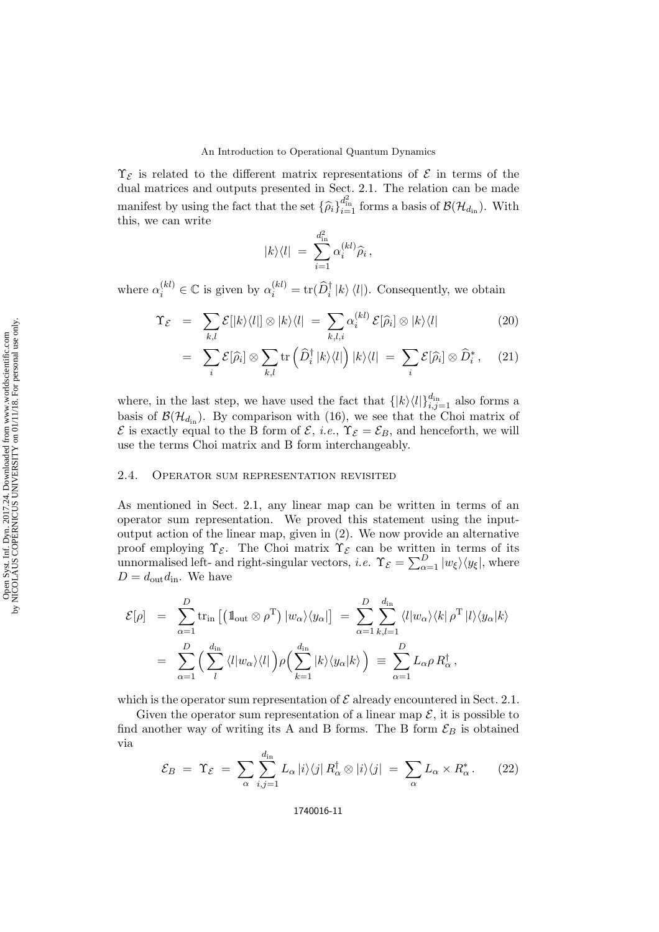$\Upsilon_{\mathcal{E}}$  is related to the different matrix representations of  $\mathcal{E}$  in terms of the dual matrices and outputs presented in Sect. 2.1. The relation can be made manifest by using the fact that the set  $\{\widehat{\rho}_i\}_{i=1}^{d_{\text{in}}^2}$  forms a basis of  $\mathcal{B}(\mathcal{H}_{d_{\text{in}}})$ . With this, we can write

$$
|k\rangle\langle l| = \sum_{i=1}^{d_{\rm in}^2} \alpha_i^{(kl)} \widehat{\rho}_i \,,
$$

where  $\alpha_i^{(kl)} \in \mathbb{C}$  is given by  $\alpha_i^{(kl)} = \text{tr}(\widehat{D}_i^{\dagger} |k\rangle \langle l|)$ . Consequently, we obtain

$$
\Upsilon_{\mathcal{E}} = \sum_{k,l} \mathcal{E}[|k\rangle\langle l|] \otimes |k\rangle\langle l| = \sum_{k,l,i} \alpha_i^{(kl)} \mathcal{E}[\widehat{\rho}_i] \otimes |k\rangle\langle l| \tag{20}
$$

$$
= \sum_{i} \mathcal{E}[\widehat{\rho}_{i}] \otimes \sum_{k,l} \text{tr}\left(\widehat{D}_{i}^{\dagger} |k\rangle\langle l| \right) |k\rangle\langle l| = \sum_{i} \mathcal{E}[\widehat{\rho}_{i}] \otimes \widehat{D}_{i}^{*}, \quad (21)
$$

where, in the last step, we have used the fact that  $\{|k\rangle\langle l|\}_{i,j=1}^{d_{\rm in}}$  also forms a basis of  $\mathcal{B}(\mathcal{H}_{d_{\text{in}}})$ . By comparison with (16), we see that the Choi matrix of  $\mathcal E$  is exactly equal to the B form of  $\mathcal E$ , *i.e.*,  $\Upsilon_{\mathcal E} = \mathcal E_B$ , and henceforth, we will use the terms Choi matrix and B form interchangeably.

## 2.4. Operator sum representation revisited

As mentioned in Sect. 2.1, any linear map can be written in terms of an operator sum representation. We proved this statement using the inputoutput action of the linear map, given in (2). We now provide an alternative proof employing  $\Upsilon_{\mathcal{E}}$ . The Choi matrix  $\Upsilon_{\mathcal{E}}$  can be written in terms of its unnormalised left- and right-singular vectors, *i.e.*  $\Upsilon_{\mathcal{E}} = \sum_{\alpha=1}^{D} |w_{\xi}\rangle\langle y_{\xi}|$ , where  $D = d_{\text{out}} d_{\text{in}}$ . We have

$$
\mathcal{E}[\rho] = \sum_{\alpha=1}^{D} \text{tr}_{\text{in}} \left[ \left( \mathbb{1}_{\text{out}} \otimes \rho^{\text{T}} \right) |w_{\alpha} \rangle \langle y_{\alpha} | \right] = \sum_{\alpha=1}^{D} \sum_{k,l=1}^{d_{\text{in}}} \langle l | w_{\alpha} \rangle \langle k | \rho^{\text{T}} | l \rangle \langle y_{\alpha} | k \rangle
$$

$$
= \sum_{\alpha=1}^{D} \left( \sum_{l=1}^{d_{\text{in}}} \langle l | w_{\alpha} \rangle \langle l | \right) \rho \left( \sum_{k=1}^{d_{\text{in}}} | k \rangle \langle y_{\alpha} | k \rangle \right) \equiv \sum_{\alpha=1}^{D} L_{\alpha} \rho R_{\alpha}^{\dagger},
$$

which is the operator sum representation of  $\mathcal E$  already encountered in Sect. 2.1.

Given the operator sum representation of a linear map  $\mathcal{E}$ , it is possible to find another way of writing its A and B forms. The B form  $\mathcal{E}_B$  is obtained via

$$
\mathcal{E}_B \ = \ \Upsilon_{\mathcal{E}} \ = \ \sum_{\alpha} \sum_{i,j=1}^{d_{\text{in}}} L_{\alpha} \, |i\rangle\langle j| \, R_{\alpha}^{\dagger} \otimes |i\rangle\langle j| \ = \ \sum_{\alpha} L_{\alpha} \times R_{\alpha}^* \,. \tag{22}
$$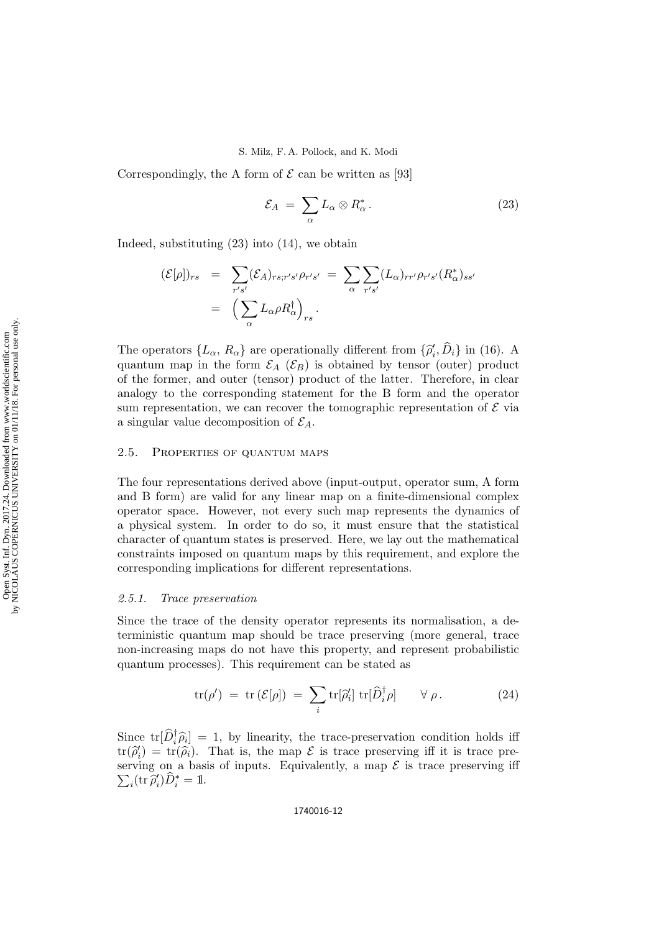Correspondingly, the A form of  $\mathcal E$  can be written as [93]

$$
\mathcal{E}_A = \sum_{\alpha} L_{\alpha} \otimes R_{\alpha}^* \,. \tag{23}
$$

Indeed, substituting (23) into (14), we obtain

$$
(\mathcal{E}[\rho])_{rs} = \sum_{r's'} (\mathcal{E}_A)_{rs;r's'} \rho_{r's'} = \sum_{\alpha} \sum_{r's'} (L_{\alpha})_{rr'} \rho_{r's'} (R_{\alpha}^*)_{ss'}
$$

$$
= \left(\sum_{\alpha} L_{\alpha} \rho R_{\alpha}^{\dagger}\right)_{rs}.
$$

The operators  $\{L_{\alpha}, R_{\alpha}\}\$  are operationally different from  $\{\hat{\rho}'_i, D_i\}$  in (16). A quantum map in the form  $\mathcal{E}_A$  ( $\mathcal{E}_B$ ) is obtained by tensor (outer) product of the former, and outer (tensor) product of the latter. Therefore, in clear analogy to the corresponding statement for the B form and the operator sum representation, we can recover the tomographic representation of  $\mathcal E$  via a singular value decomposition of  $\mathcal{E}_A$ .

# 2.5. Properties of quantum maps

The four representations derived above (input-output, operator sum, A form and B form) are valid for any linear map on a finite-dimensional complex operator space. However, not every such map represents the dynamics of a physical system. In order to do so, it must ensure that the statistical character of quantum states is preserved. Here, we lay out the mathematical constraints imposed on quantum maps by this requirement, and explore the corresponding implications for different representations.

#### 2.5.1. Trace preservation

Since the trace of the density operator represents its normalisation, a deterministic quantum map should be trace preserving (more general, trace non-increasing maps do not have this property, and represent probabilistic quantum processes). This requirement can be stated as

$$
\text{tr}(\rho') = \text{tr}(\mathcal{E}[\rho]) = \sum_{i} \text{tr}[\hat{\rho}'_i] \text{ tr}[\hat{D}_i^{\dagger} \rho] \qquad \forall \ \rho. \tag{24}
$$

Since  $tr[D_i^{\dagger} \hat{\rho}_i] = 1$ , by linearity, the trace-preservation condition holds iff  $\text{tr}(\hat{\rho}_i') = \text{tr}(\hat{\rho}_i)$ . That is, the map  $\mathcal E$  is trace preserving iff it is trace preserving on a basis of inputs. Equivalently, a map  $\mathcal E$  is trace preserving iff  $\sum_i (\operatorname{tr} \hat{\rho}'_i) \widehat{D}_i^* = 1.$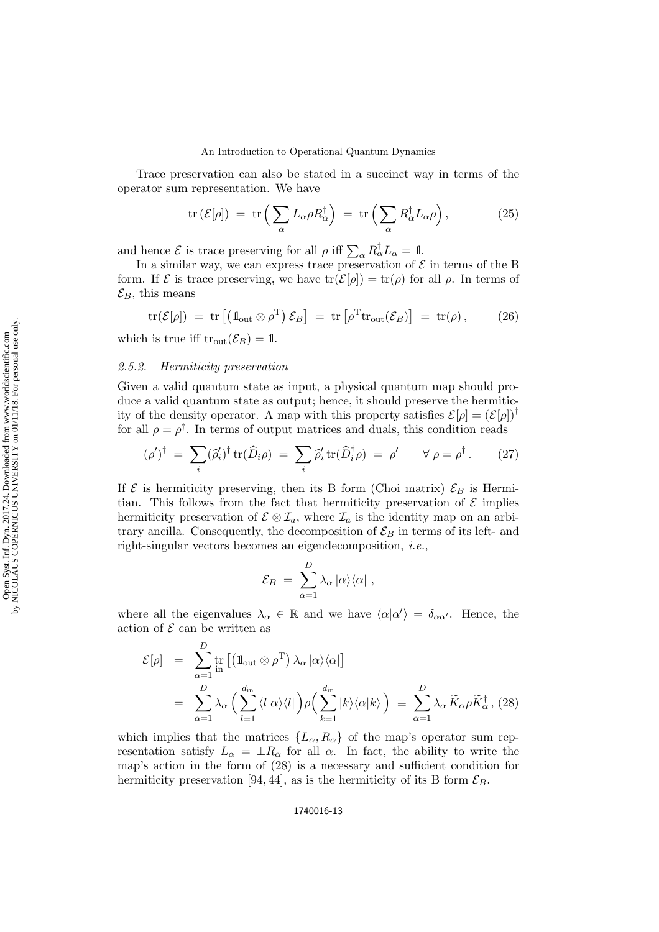Trace preservation can also be stated in a succinct way in terms of the operator sum representation. We have

$$
\operatorname{tr}\left(\mathcal{E}[\rho]\right) \;=\; \operatorname{tr}\left(\sum_{\alpha} L_{\alpha} \rho R_{\alpha}^{\dagger}\right) \;=\; \operatorname{tr}\left(\sum_{\alpha} R_{\alpha}^{\dagger} L_{\alpha} \rho\right),\tag{25}
$$

and hence  $\mathcal{E}$  is trace preserving for all  $\rho$  iff  $\sum_{\alpha} R_{\alpha}^{\dagger} L_{\alpha} = \mathbb{1}$ .

In a similar way, we can express trace preservation of  $\mathcal E$  in terms of the B form. If  $\mathcal E$  is trace preserving, we have  $tr(\mathcal E[\rho]) = tr(\rho)$  for all  $\rho$ . In terms of  $\mathcal{E}_B$ , this means

$$
\text{tr}(\mathcal{E}[\rho]) = \text{tr}\left[\left(\mathbb{1}_{\text{out}}\otimes\rho^{\text{T}}\right)\mathcal{E}_B\right] = \text{tr}\left[\rho^{\text{T}}\text{tr}_{\text{out}}(\mathcal{E}_B)\right] = \text{tr}(\rho), \quad (26)
$$

which is true iff  $tr_{out}(\mathcal{E}_B) = 1$ .

## 2.5.2. Hermiticity preservation

Given a valid quantum state as input, a physical quantum map should produce a valid quantum state as output; hence, it should preserve the hermiticity of the density operator. A map with this property satisfies  $\mathcal{E}[\rho] = (\mathcal{E}[\rho])^{\dagger}$ for all  $\rho = \rho^{\dagger}$ . In terms of output matrices and duals, this condition reads

$$
(\rho')^{\dagger} = \sum_{i} (\hat{\rho}'_{i})^{\dagger} \operatorname{tr}(\hat{D}_{i}\rho) = \sum_{i} \hat{\rho}'_{i} \operatorname{tr}(\hat{D}_{i}^{\dagger}\rho) = \rho' \qquad \forall \ \rho = \rho^{\dagger}.
$$
 (27)

If  $\mathcal E$  is hermiticity preserving, then its B form (Choi matrix)  $\mathcal E_B$  is Hermitian. This follows from the fact that hermiticity preservation of  $\mathcal E$  implies hermiticity preservation of  $\mathcal{E} \otimes \mathcal{I}_a$ , where  $\mathcal{I}_a$  is the identity map on an arbitrary ancilla. Consequently, the decomposition of  $\mathcal{E}_B$  in terms of its left- and right-singular vectors becomes an eigendecomposition, i.e.,

$$
\mathcal{E}_B = \sum_{\alpha=1}^D \lambda_\alpha \, |\alpha\rangle\langle\alpha| \;,
$$

where all the eigenvalues  $\lambda_{\alpha} \in \mathbb{R}$  and we have  $\langle \alpha | \alpha' \rangle = \delta_{\alpha \alpha'}$ . Hence, the action of  $\mathcal E$  can be written as

$$
\mathcal{E}[\rho] = \sum_{\alpha=1}^{D} \text{tr} \left[ \left( \mathbb{1}_{\text{out}} \otimes \rho^{\text{T}} \right) \lambda_{\alpha} | \alpha \rangle \langle \alpha | \right]
$$
  

$$
= \sum_{\alpha=1}^{D} \lambda_{\alpha} \left( \sum_{l=1}^{d_{\text{in}}} \langle l | \alpha \rangle \langle l | \right) \rho \left( \sum_{k=1}^{d_{\text{in}}} |k \rangle \langle \alpha | k \rangle \right) \equiv \sum_{\alpha=1}^{D} \lambda_{\alpha} \widetilde{K}_{\alpha} \rho \widetilde{K}_{\alpha}^{\dagger}, (28)
$$

which implies that the matrices  $\{L_{\alpha}, R_{\alpha}\}\$  of the map's operator sum representation satisfy  $L_{\alpha} = \pm R_{\alpha}$  for all  $\alpha$ . In fact, the ability to write the map's action in the form of (28) is a necessary and sufficient condition for hermiticity preservation [94, 44], as is the hermiticity of its B form  $\mathcal{E}_B$ .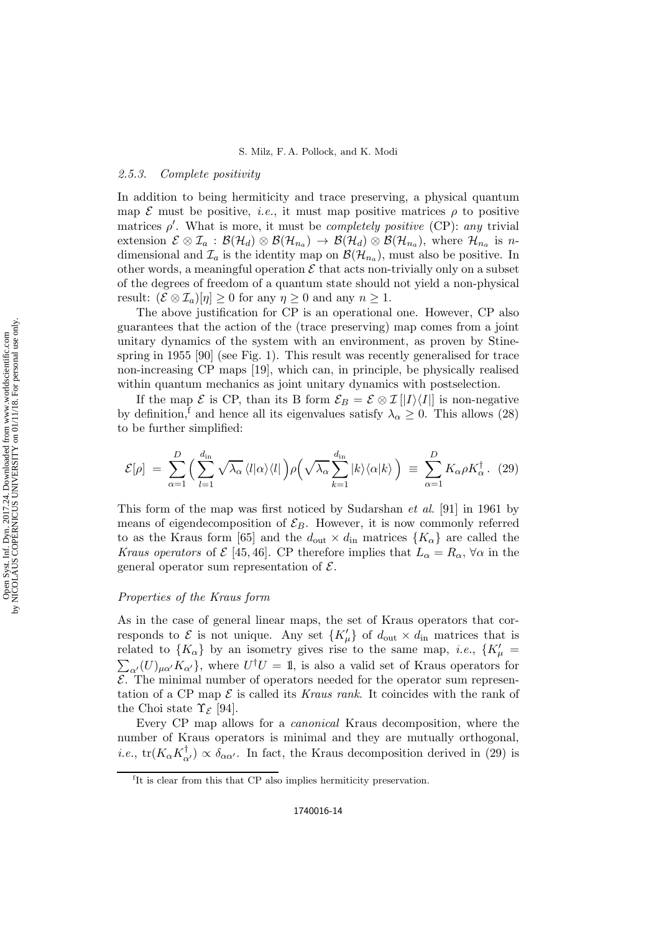# 2.5.3. Complete positivity

In addition to being hermiticity and trace preserving, a physical quantum map  $\mathcal E$  must be positive, *i.e.*, it must map positive matrices  $\rho$  to positive matrices  $\rho'$ . What is more, it must be *completely positive* (CP): any trivial extension  $\mathcal{E} \otimes \mathcal{I}_a$ :  $\mathcal{B}(\mathcal{H}_d) \otimes \mathcal{B}(\mathcal{H}_{n_a}) \to \mathcal{B}(\mathcal{H}_d) \otimes \mathcal{B}(\mathcal{H}_{n_a})$ , where  $\mathcal{H}_{n_a}$  is ndimensional and  $\mathcal{I}_a$  is the identity map on  $\mathcal{B}(\mathcal{H}_{n_a})$ , must also be positive. In other words, a meaningful operation  $\mathcal E$  that acts non-trivially only on a subset of the degrees of freedom of a quantum state should not yield a non-physical result:  $(\mathcal{E} \otimes \mathcal{I}_a)[\eta] \geq 0$  for any  $\eta \geq 0$  and any  $n \geq 1$ .

The above justification for CP is an operational one. However, CP also guarantees that the action of the (trace preserving) map comes from a joint unitary dynamics of the system with an environment, as proven by Stinespring in 1955 [90] (see Fig. 1). This result was recently generalised for trace non-increasing CP maps [19], which can, in principle, be physically realised within quantum mechanics as joint unitary dynamics with postselection.

If the map  $\mathcal E$  is CP, than its B form  $\mathcal E_B = \mathcal E \otimes \mathcal I ||I\rangle\langle I||$  is non-negative by definition,<sup>f</sup> and hence all its eigenvalues satisfy  $\lambda_{\alpha} \geq 0$ . This allows (28) to be further simplified:

$$
\mathcal{E}[\rho] = \sum_{\alpha=1}^{D} \left( \sum_{l=1}^{d_{\text{in}}} \sqrt{\lambda_{\alpha}} \langle l | \alpha \rangle \langle l | \right) \rho \left( \sqrt{\lambda_{\alpha}} \sum_{k=1}^{d_{\text{in}}} |k \rangle \langle \alpha | k \rangle \right) \equiv \sum_{\alpha=1}^{D} K_{\alpha} \rho K_{\alpha}^{\dagger}.
$$
 (29)

This form of the map was first noticed by Sudarshan et al. [91] in 1961 by means of eigendecomposition of  $\mathcal{E}_B$ . However, it is now commonly referred to as the Kraus form [65] and the  $d_{\text{out}} \times d_{\text{in}}$  matrices  $\{K_{\alpha}\}\$ are called the Kraus operators of  $\mathcal E$  [45, 46]. CP therefore implies that  $L_\alpha = R_\alpha$ ,  $\forall \alpha$  in the general operator sum representation of  $\mathcal{E}$ .

# Properties of the Kraus form

As in the case of general linear maps, the set of Kraus operators that corresponds to  $\mathcal{E}$  is not unique. Any set  $\{K'_{\mu}\}\$  of  $d_{\text{out}} \times d_{\text{in}}$  matrices that is related to  ${K_{\alpha}}$  by an isometry gives rise to the same map, *i.e.*,  ${K'_{\mu}}$ related to  $\{K_{\alpha}\}\$  by an isometry gives rise to the same map, *i.e.*,  $\{K'_{\mu} = \sum_{\alpha'}(U)_{\mu\alpha'}K_{\alpha'}\}\$ , where  $U^{\dagger}U = \mathbb{1}$ , is also a valid set of Kraus operators for  $\mathcal{E}$ . The minimal number of operators needed for the operator sum representation of a CP map  $\mathcal E$  is called its Kraus rank. It coincides with the rank of the Choi state  $\Upsilon_{\mathcal{E}}$  [94].

Every CP map allows for a canonical Kraus decomposition, where the number of Kraus operators is minimal and they are mutually orthogonal, *i.e.*,  $tr(K_{\alpha} K_{\alpha'}^{\dagger}) \propto \delta_{\alpha\alpha'}$ . In fact, the Kraus decomposition derived in (29) is

<sup>&</sup>lt;sup>f</sup>It is clear from this that CP also implies hermiticity preservation.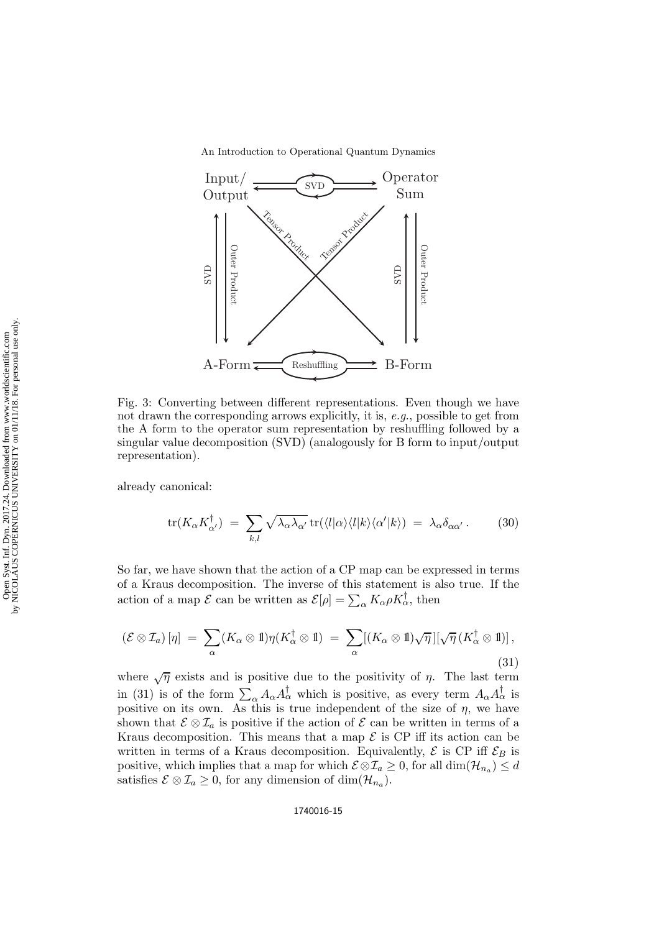

Fig. 3: Converting between different representations. Even though we have not drawn the corresponding arrows explicitly, it is, e.g., possible to get from the A form to the operator sum representation by reshuffling followed by a singular value decomposition (SVD) (analogously for B form to input/output representation).

already canonical:

$$
\text{tr}(K_{\alpha}K_{\alpha'}^{\dagger}) = \sum_{k,l} \sqrt{\lambda_{\alpha}\lambda_{\alpha'}} \text{tr}(\langle l|\alpha\rangle\langle l|k\rangle\langle\alpha'|k\rangle) = \lambda_{\alpha}\delta_{\alpha\alpha'}.
$$
 (30)

So far, we have shown that the action of a CP map can be expressed in terms of a Kraus decomposition. The inverse of this statement is also true. If the action of a map  $\mathcal E$  can be written as  $\mathcal E[\rho] = \sum_{\alpha} K_{\alpha} \rho K_{\alpha}^{\dagger}$ , then

$$
\left(\mathcal{E}\otimes\mathcal{I}_a\right)[\eta] \ = \ \sum_{\alpha}(K_{\alpha}\otimes\mathbb{1})\eta(K_{\alpha}^{\dagger}\otimes\mathbb{1}) \ = \ \sum_{\alpha}[(K_{\alpha}\otimes\mathbb{1})\sqrt{\eta}\,][\sqrt{\eta}\,(K_{\alpha}^{\dagger}\otimes\mathbb{1})],\tag{31}
$$

where  $\sqrt{\eta}$  exists and is positive due to the positivity of  $\eta$ . The last term in (31) is of the form  $\sum_{\alpha} A_{\alpha} A_{\alpha}^{\dagger}$  which is positive, as every term  $A_{\alpha} A_{\alpha}^{\dagger}$  is positive on its own. As this is true independent of the size of  $\eta$ , we have shown that  $\mathcal{E} \otimes \mathcal{I}_a$  is positive if the action of  $\mathcal{E}$  can be written in terms of a Kraus decomposition. This means that a map  $\mathcal E$  is CP iff its action can be written in terms of a Kraus decomposition. Equivalently,  $\mathcal{E}$  is CP iff  $\mathcal{E}_B$  is positive, which implies that a map for which  $\mathcal{E} \otimes \mathcal{I}_a \geq 0$ , for all  $\dim(\mathcal{H}_{n_a}) \leq d$ satisfies  $\mathcal{E} \otimes \mathcal{I}_a \geq 0$ , for any dimension of  $\dim(\mathcal{H}_{n_a})$ .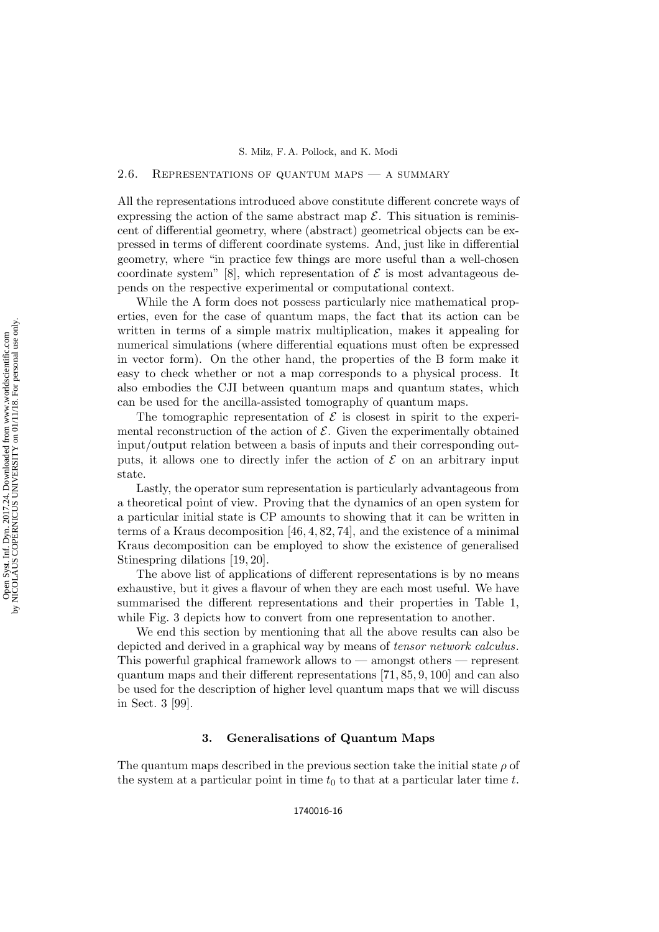# 2.6. REPRESENTATIONS OF QUANTUM MAPS — A SUMMARY

All the representations introduced above constitute different concrete ways of expressing the action of the same abstract map  $\mathcal{E}$ . This situation is reminiscent of differential geometry, where (abstract) geometrical objects can be expressed in terms of different coordinate systems. And, just like in differential geometry, where "in practice few things are more useful than a well-chosen coordinate system" [8], which representation of  $\mathcal E$  is most advantageous depends on the respective experimental or computational context.

While the A form does not possess particularly nice mathematical properties, even for the case of quantum maps, the fact that its action can be written in terms of a simple matrix multiplication, makes it appealing for numerical simulations (where differential equations must often be expressed in vector form). On the other hand, the properties of the B form make it easy to check whether or not a map corresponds to a physical process. It also embodies the CJI between quantum maps and quantum states, which can be used for the ancilla-assisted tomography of quantum maps.

The tomographic representation of  $\mathcal E$  is closest in spirit to the experimental reconstruction of the action of  $\mathcal{E}$ . Given the experimentally obtained input/output relation between a basis of inputs and their corresponding outputs, it allows one to directly infer the action of  $\mathcal E$  on an arbitrary input state.

Lastly, the operator sum representation is particularly advantageous from a theoretical point of view. Proving that the dynamics of an open system for a particular initial state is CP amounts to showing that it can be written in terms of a Kraus decomposition [46, 4, 82, 74], and the existence of a minimal Kraus decomposition can be employed to show the existence of generalised Stinespring dilations [19, 20].

The above list of applications of different representations is by no means exhaustive, but it gives a flavour of when they are each most useful. We have summarised the different representations and their properties in Table 1, while Fig. 3 depicts how to convert from one representation to another.

We end this section by mentioning that all the above results can also be depicted and derived in a graphical way by means of tensor network calculus. This powerful graphical framework allows to — amongst others — represent quantum maps and their different representations [71, 85, 9, 100] and can also be used for the description of higher level quantum maps that we will discuss in Sect. 3 [99].

#### 3. Generalisations of Quantum Maps

The quantum maps described in the previous section take the initial state  $\rho$  of the system at a particular point in time  $t_0$  to that at a particular later time t.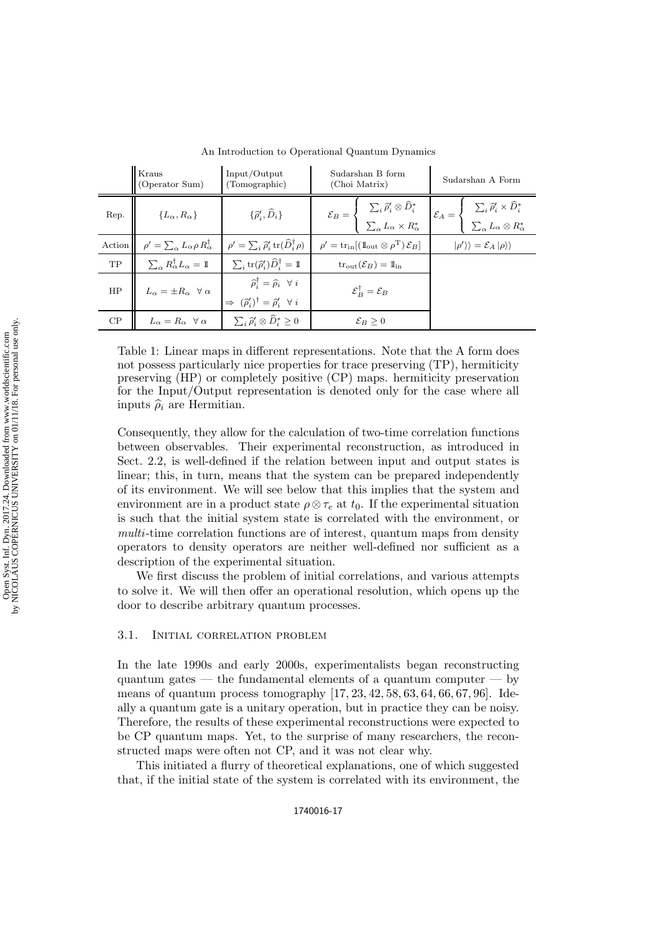|        | Kraus<br>(Operator Sum)                                      | Input/Output<br>(Tomographic)                                                                                                             | Sudarshan B form<br>(Choi Matrix)                                                                                                                                                                                                                                                                                                            | Sudarshan A Form                                           |
|--------|--------------------------------------------------------------|-------------------------------------------------------------------------------------------------------------------------------------------|----------------------------------------------------------------------------------------------------------------------------------------------------------------------------------------------------------------------------------------------------------------------------------------------------------------------------------------------|------------------------------------------------------------|
| Rep.   | $\{L_{\alpha}, R_{\alpha}\}\$                                | $\{\widehat{\rho}_i', \widehat{D}_i\}$                                                                                                    | $\mathcal{E}_B = \left\{ \begin{array}{c} \sum_i \widehat{\rho}_i' \otimes \widehat{D}_i^* \\ \sum_{\alpha} L_{\alpha} \times R_{\alpha}^* \end{array} \right. \left  \mathcal{E}_A = \left\{ \begin{array}{c} \sum_i \widehat{\rho}_i' \times \widehat{D}_i^* \\ \sum_{\alpha} L_{\alpha} \otimes R_{\alpha}^* \end{array} \right. \right.$ |                                                            |
| Action | $\rho' = \sum_{\alpha} L_{\alpha} \rho R_{\alpha}^{\dagger}$ | $\rho' = \sum_i \hat{\rho}'_i \operatorname{tr}(\widehat{D}_i^{\dagger} \rho)$                                                            | $\rho' = \text{tr}_{\text{in}}[(\mathbb{1}_{\text{out}} \otimes \rho^{\text{T}}) \mathcal{E}_B]$                                                                                                                                                                                                                                             | $ \rho'\rangle\rangle = \mathcal{E}_A  \rho\rangle\rangle$ |
| TP     | $\sum_{\alpha} R_{\alpha}^{\dagger} L_{\alpha} = 1$          | $\sum_i \text{tr}(\hat{\rho}_i')\hat{D}_i^{\dagger} = 1$                                                                                  | $\text{tr}_{\text{out}}(\mathcal{E}_B) = \mathbb{1}_{\text{in}}$                                                                                                                                                                                                                                                                             |                                                            |
| HP     | $L_\alpha = \pm R_\alpha \ \ \forall \ \alpha$               | $\widehat{\rho}_{i}^{\dagger}=\widehat{\rho}_{i}~~\forall~i$<br>$\Rightarrow$ $(\hat{\rho}'_i)^{\dagger} = \hat{\rho}'_i \quad \forall i$ | ${\cal E}_B^\dagger = {\cal E}_B$                                                                                                                                                                                                                                                                                                            |                                                            |
| CP     | $L_{\alpha} = R_{\alpha} \ \ \forall \alpha$                 | $\sum_i \widehat{\rho}'_i \otimes \widehat{D}_i^* \geq 0$                                                                                 | $\mathcal{E}_B \geq 0$                                                                                                                                                                                                                                                                                                                       |                                                            |

An Introduction to Operational Quantum Dynamics

Table 1: Linear maps in different representations. Note that the A form does not possess particularly nice properties for trace preserving (TP), hermiticity preserving (HP) or completely positive (CP) maps. hermiticity preservation for the Input/Output representation is denoted only for the case where all inputs  $\hat{\rho}_i$  are Hermitian.

Consequently, they allow for the calculation of two-time correlation functions between observables. Their experimental reconstruction, as introduced in Sect. 2.2, is well-defined if the relation between input and output states is linear; this, in turn, means that the system can be prepared independently of its environment. We will see below that this implies that the system and environment are in a product state  $\rho \otimes \tau_e$  at  $t_0$ . If the experimental situation is such that the initial system state is correlated with the environment, or multi-time correlation functions are of interest, quantum maps from density operators to density operators are neither well-defined nor sufficient as a description of the experimental situation.

We first discuss the problem of initial correlations, and various attempts to solve it. We will then offer an operational resolution, which opens up the door to describe arbitrary quantum processes.

# 3.1. Initial correlation problem

In the late 1990s and early 2000s, experimentalists began reconstructing quantum gates — the fundamental elements of a quantum computer  $-$  by means of quantum process tomography [17, 23, 42, 58, 63, 64, 66, 67, 96]. Ideally a quantum gate is a unitary operation, but in practice they can be noisy. Therefore, the results of these experimental reconstructions were expected to be CP quantum maps. Yet, to the surprise of many researchers, the reconstructed maps were often not CP, and it was not clear why.

This initiated a flurry of theoretical explanations, one of which suggested that, if the initial state of the system is correlated with its environment, the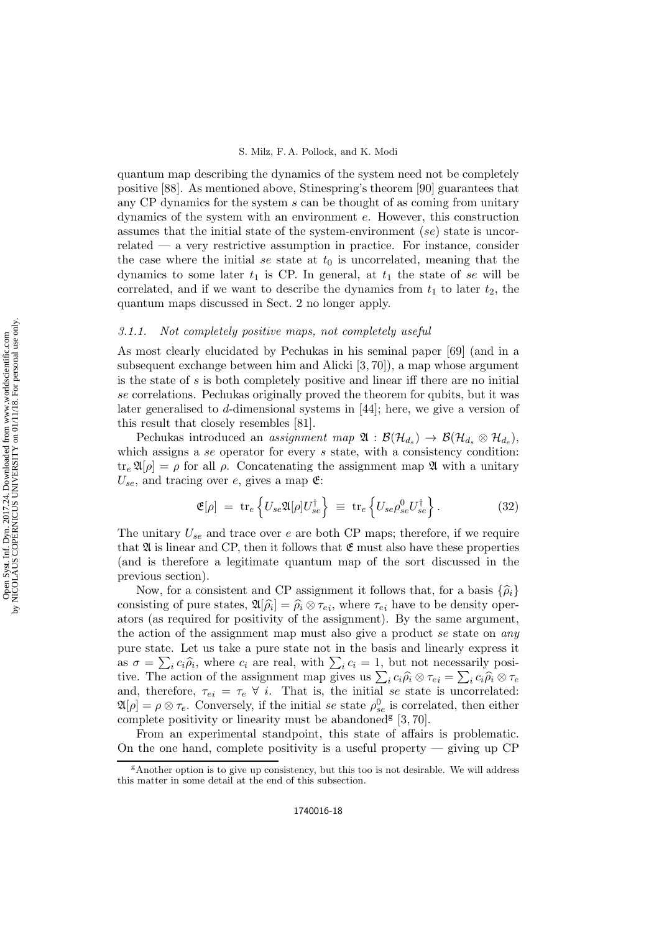quantum map describing the dynamics of the system need not be completely positive [88]. As mentioned above, Stinespring's theorem [90] guarantees that any CP dynamics for the system s can be thought of as coming from unitary dynamics of the system with an environment e. However, this construction assumes that the initial state of the system-environment  $(se)$  state is uncorrelated — a very restrictive assumption in practice. For instance, consider the case where the initial se state at  $t_0$  is uncorrelated, meaning that the dynamics to some later  $t_1$  is CP. In general, at  $t_1$  the state of se will be correlated, and if we want to describe the dynamics from  $t_1$  to later  $t_2$ , the quantum maps discussed in Sect. 2 no longer apply.

# 3.1.1. Not completely positive maps, not completely useful

As most clearly elucidated by Pechukas in his seminal paper [69] (and in a subsequent exchange between him and Alicki [3, 70]), a map whose argument is the state of s is both completely positive and linear iff there are no initial se correlations. Pechukas originally proved the theorem for qubits, but it was later generalised to d-dimensional systems in [44]; here, we give a version of this result that closely resembles [81].

Pechukas introduced an assignment map  $\mathfrak{A}: \mathcal{B}(\mathcal{H}_{d_s}) \to \mathcal{B}(\mathcal{H}_{d_s} \otimes \mathcal{H}_{d_e}),$ which assigns a se operator for every s state, with a consistency condition:  $\text{tr}_e \mathfrak{A}[\rho] = \rho$  for all  $\rho$ . Concatenating the assignment map  $\mathfrak A$  with a unitary  $U_{se}$ , and tracing over e, gives a map  $\mathfrak{E}$ :

$$
\mathfrak{E}[\rho] = \text{tr}_e \left\{ U_{se} \mathfrak{A}[\rho] U_{se}^\dagger \right\} \equiv \text{tr}_e \left\{ U_{se} \rho_{se}^0 U_{se}^\dagger \right\}.
$$
 (32)

The unitary  $U_{se}$  and trace over e are both CP maps; therefore, if we require that  $\mathfrak A$  is linear and CP, then it follows that  $\mathfrak E$  must also have these properties (and is therefore a legitimate quantum map of the sort discussed in the previous section).

Now, for a consistent and CP assignment it follows that, for a basis  $\{\hat{\rho}_i\}$ consisting of pure states,  $\mathfrak{A}[\hat{\rho}_i] = \hat{\rho}_i \otimes \tau_{ei}$ , where  $\tau_{ei}$  have to be density operators (as required for positivity of the assignment). By the same argument, the action of the assignment map must also give a product se state on any pure state. Let us take a pure state not in the basis and linearly express it as  $\sigma = \sum_i c_i \hat{\rho}_i$ , where  $c_i$  are real, with  $\sum_i c_i = 1$ , but not necessarily position of the conjunction of the conjunction  $\sum_i c_i = 1$ tive. The action of the assignment map gives us  $\sum_i c_i \hat{\rho}_i \otimes \tau_{ei} = \sum_i c_i \hat{\rho}_i \otimes \tau_{ei}$ and, therefore,  $\tau_{ei} = \tau_e \forall i$ . That is, the initial se state is uncorrelated:  $\mathfrak{A}[\rho] = \rho \otimes \tau_e$ . Conversely, if the initial se state  $\rho_{se}^0$  is correlated, then either complete positivity or linearity must be abandoned<sup>g</sup>  $[3, 70]$ .

From an experimental standpoint, this state of affairs is problematic. On the one hand, complete positivity is a useful property — giving up  $\text{CP}$ 

 ${}^{\text{g}}$ Another option is to give up consistency, but this too is not desirable. We will address this matter in some detail at the end of this subsection.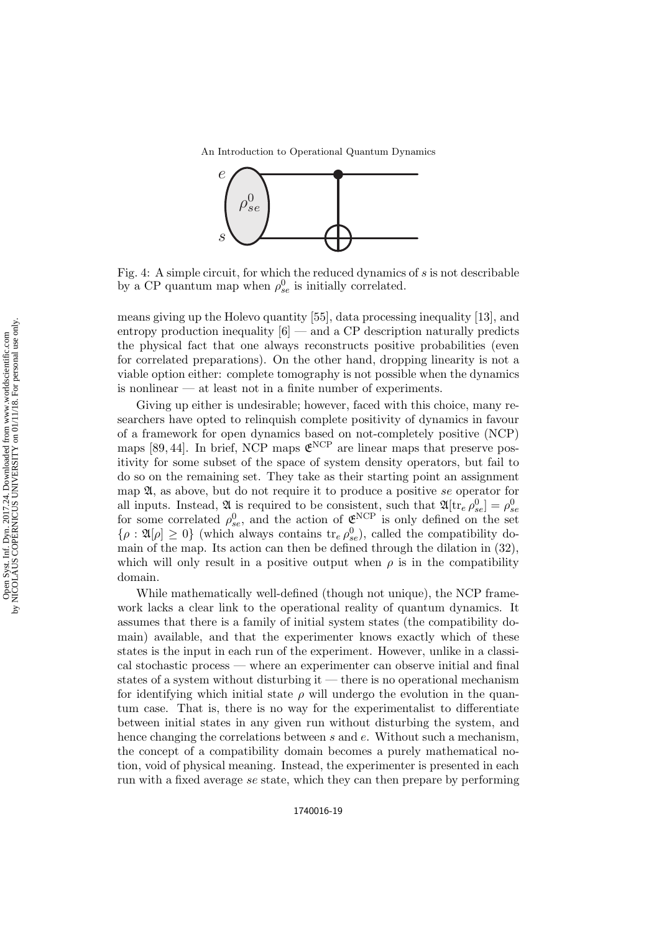An Introduction to Operational Quantum Dynamics



Fig. 4: A simple circuit, for which the reduced dynamics of s is not describable by a CP quantum map when  $\rho_{se}^0$  is initially correlated.

means giving up the Holevo quantity [55], data processing inequality [13], and entropy production inequality  $[6]$  — and a CP description naturally predicts the physical fact that one always reconstructs positive probabilities (even for correlated preparations). On the other hand, dropping linearity is not a viable option either: complete tomography is not possible when the dynamics is nonlinear — at least not in a finite number of experiments.

Giving up either is undesirable; however, faced with this choice, many researchers have opted to relinquish complete positivity of dynamics in favour of a framework for open dynamics based on not-completely positive (NCP) maps [89, 44]. In brief, NCP maps  $\mathfrak{E}^{\text{NCP}}$  are linear maps that preserve positivity for some subset of the space of system density operators, but fail to do so on the remaining set. They take as their starting point an assignment map  $\mathfrak{A}$ , as above, but do not require it to produce a positive se operator for all inputs. Instead,  $\mathfrak{A}$  is required to be consistent, such that  $\mathfrak{A}[\text{tr}_e \rho_{se}^0] = \rho_{se}^0$ for some correlated  $\rho_{se}^0$ , and the action of  $\mathfrak{C}^{\text{NCP}}$  is only defined on the set  $\{\rho : \mathfrak{A}[\rho] \geq 0\}$  (which always contains  $\text{tr}_e \rho_{se}^0$ ), called the compatibility domain of the map. Its action can then be defined through the dilation in (32), which will only result in a positive output when  $\rho$  is in the compatibility domain.

While mathematically well-defined (though not unique), the NCP framework lacks a clear link to the operational reality of quantum dynamics. It assumes that there is a family of initial system states (the compatibility domain) available, and that the experimenter knows exactly which of these states is the input in each run of the experiment. However, unlike in a classical stochastic process — where an experimenter can observe initial and final states of a system without disturbing it — there is no operational mechanism for identifying which initial state  $\rho$  will undergo the evolution in the quantum case. That is, there is no way for the experimentalist to differentiate between initial states in any given run without disturbing the system, and hence changing the correlations between s and e. Without such a mechanism, the concept of a compatibility domain becomes a purely mathematical notion, void of physical meaning. Instead, the experimenter is presented in each run with a fixed average se state, which they can then prepare by performing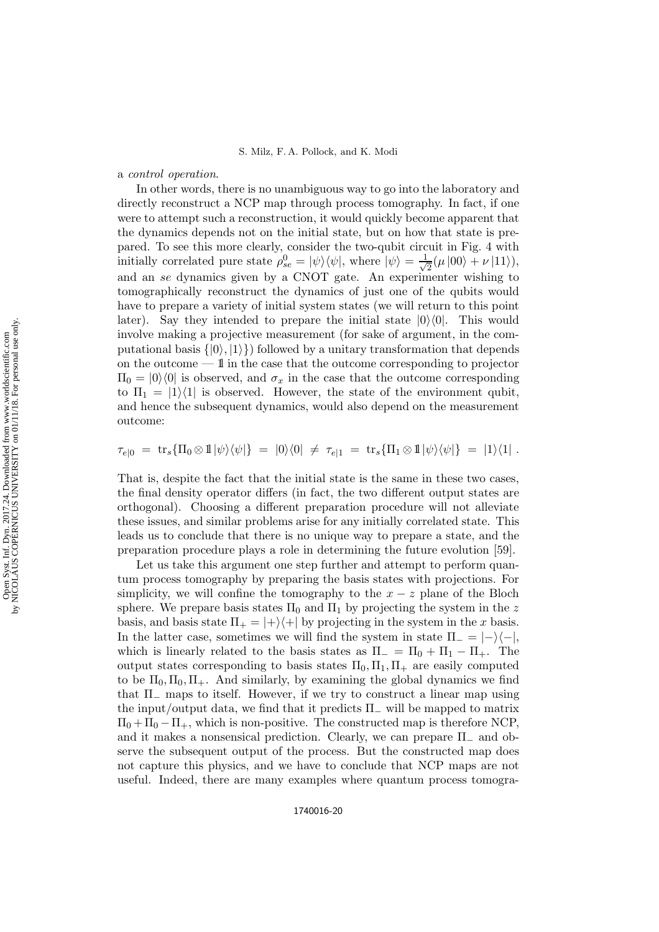a control operation.

In other words, there is no unambiguous way to go into the laboratory and directly reconstruct a NCP map through process tomography. In fact, if one were to attempt such a reconstruction, it would quickly become apparent that the dynamics depends not on the initial state, but on how that state is prepared. To see this more clearly, consider the two-qubit circuit in Fig. 4 with initially correlated pure state  $\rho_{se}^0 = |\psi\rangle\langle\psi|$ , where  $|\psi\rangle = \frac{1}{\sqrt{\pi}}$  $\frac{1}{2}(\mu |00\rangle + \nu |11\rangle),$ and an se dynamics given by a CNOT gate. An experimenter wishing to tomographically reconstruct the dynamics of just one of the qubits would have to prepare a variety of initial system states (we will return to this point later). Say they intended to prepare the initial state  $|0\rangle\langle 0|$ . This would involve making a projective measurement (for sake of argument, in the computational basis  $\{|0\rangle, |1\rangle\}$  followed by a unitary transformation that depends on the outcome — 1l in the case that the outcome corresponding to projector  $\Pi_0 = |0\rangle\langle 0|$  is observed, and  $\sigma_x$  in the case that the outcome corresponding to  $\Pi_1 = |1\rangle\langle 1|$  is observed. However, the state of the environment qubit, and hence the subsequent dynamics, would also depend on the measurement outcome:

$$
\tau_{e|0} = \operatorname{tr}_s \{ \Pi_0 \otimes \mathbb{1} |\psi\rangle\langle\psi|\} = |0\rangle\langle0| \neq \tau_{e|1} = \operatorname{tr}_s \{ \Pi_1 \otimes \mathbb{1} |\psi\rangle\langle\psi|\} = |1\rangle\langle1|.
$$

That is, despite the fact that the initial state is the same in these two cases, the final density operator differs (in fact, the two different output states are orthogonal). Choosing a different preparation procedure will not alleviate these issues, and similar problems arise for any initially correlated state. This leads us to conclude that there is no unique way to prepare a state, and the preparation procedure plays a role in determining the future evolution [59].

Let us take this argument one step further and attempt to perform quantum process tomography by preparing the basis states with projections. For simplicity, we will confine the tomography to the  $x - z$  plane of the Bloch sphere. We prepare basis states  $\Pi_0$  and  $\Pi_1$  by projecting the system in the z basis, and basis state  $\Pi_+ = |+\rangle\langle+|$  by projecting in the system in the x basis. In the latter case, sometimes we will find the system in state  $\Pi = \vert - \rangle \langle - \vert$ , which is linearly related to the basis states as  $\Pi_{-} = \Pi_0 + \Pi_1 - \Pi_{+}$ . The output states corresponding to basis states  $\Pi_0$ ,  $\Pi_1$ ,  $\Pi_+$  are easily computed to be  $\Pi_0$ ,  $\Pi_0$ ,  $\Pi_+$ . And similarly, by examining the global dynamics we find that  $\Pi$ <sub>-</sub> maps to itself. However, if we try to construct a linear map using the input/output data, we find that it predicts  $\Pi$ <sub>-</sub> will be mapped to matrix  $\Pi_0 + \Pi_0 - \Pi_+$ , which is non-positive. The constructed map is therefore NCP. and it makes a nonsensical prediction. Clearly, we can prepare  $\Pi$  and observe the subsequent output of the process. But the constructed map does not capture this physics, and we have to conclude that NCP maps are not useful. Indeed, there are many examples where quantum process tomogra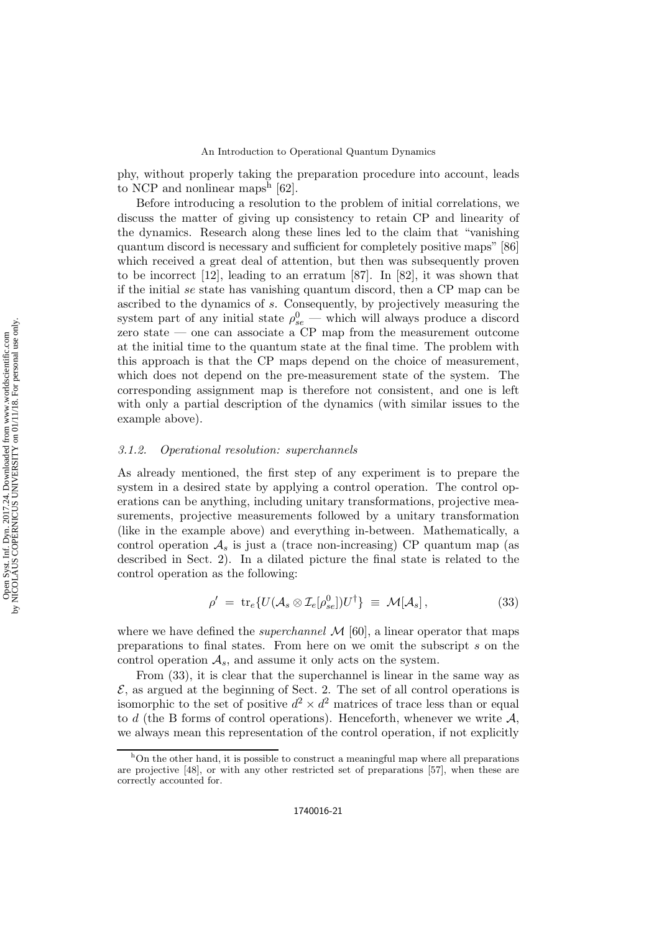phy, without properly taking the preparation procedure into account, leads to NCP and nonlinear maps<sup>h</sup> [62].

Before introducing a resolution to the problem of initial correlations, we discuss the matter of giving up consistency to retain CP and linearity of the dynamics. Research along these lines led to the claim that "vanishing quantum discord is necessary and sufficient for completely positive maps" [86] which received a great deal of attention, but then was subsequently proven to be incorrect [12], leading to an erratum [87]. In [82], it was shown that if the initial se state has vanishing quantum discord, then a CP map can be ascribed to the dynamics of s. Consequently, by projectively measuring the system part of any initial state  $\rho_{se}^0$  — which will always produce a discord zero state — one can associate a CP map from the measurement outcome at the initial time to the quantum state at the final time. The problem with this approach is that the CP maps depend on the choice of measurement, which does not depend on the pre-measurement state of the system. The corresponding assignment map is therefore not consistent, and one is left with only a partial description of the dynamics (with similar issues to the example above).

## 3.1.2. Operational resolution: superchannels

As already mentioned, the first step of any experiment is to prepare the system in a desired state by applying a control operation. The control operations can be anything, including unitary transformations, projective measurements, projective measurements followed by a unitary transformation (like in the example above) and everything in-between. Mathematically, a control operation  $A_s$  is just a (trace non-increasing) CP quantum map (as described in Sect. 2). In a dilated picture the final state is related to the control operation as the following:

$$
\rho' = \text{tr}_{e} \{ U(\mathcal{A}_{s} \otimes \mathcal{I}_{e}[\rho_{se}^{0}]) U^{\dagger} \} \equiv \mathcal{M}[\mathcal{A}_{s}], \qquad (33)
$$

where we have defined the *superchannel*  $\mathcal{M}$  [60], a linear operator that maps preparations to final states. From here on we omit the subscript s on the control operation  $\mathcal{A}_s$ , and assume it only acts on the system.

From (33), it is clear that the superchannel is linear in the same way as  $\mathcal{E}$ , as argued at the beginning of Sect. 2. The set of all control operations is isomorphic to the set of positive  $d^2 \times d^2$  matrices of trace less than or equal to d (the B forms of control operations). Henceforth, whenever we write  $A$ , we always mean this representation of the control operation, if not explicitly

 $h$ On the other hand, it is possible to construct a meaningful map where all preparations are projective [48], or with any other restricted set of preparations [57], when these are correctly accounted for.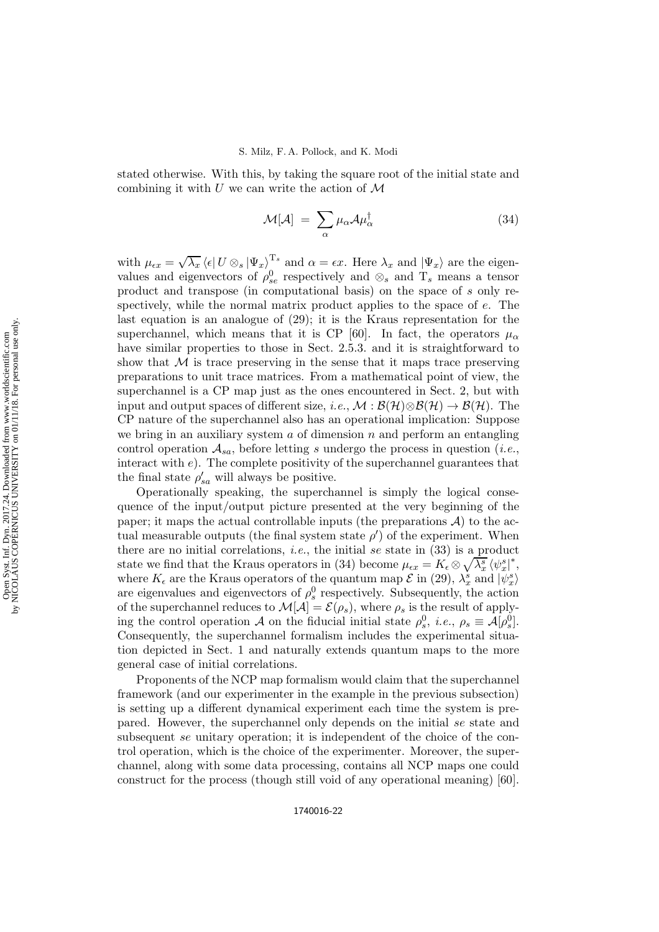stated otherwise. With this, by taking the square root of the initial state and combining it with U we can write the action of  $\mathcal M$ 

$$
\mathcal{M}[\mathcal{A}] = \sum_{\alpha} \mu_{\alpha} \mathcal{A} \mu_{\alpha}^{\dagger} \tag{34}
$$

with  $\mu_{\epsilon x} = \sqrt{\lambda_x} \langle \epsilon | U \otimes_s | \Psi_x \rangle_x^{\mathrm{T}_s}$  and  $\alpha = \epsilon x$ . Here  $\lambda_x$  and  $|\Psi_x \rangle$  are the eigenvalues and eigenvectors of  $\rho_{se}^0$  respectively and  $\otimes_s$  and  $T_s$  means a tensor product and transpose (in computational basis) on the space of s only respectively, while the normal matrix product applies to the space of e. The last equation is an analogue of (29); it is the Kraus representation for the superchannel, which means that it is CP [60]. In fact, the operators  $\mu_{\alpha}$ have similar properties to those in Sect. 2.5.3. and it is straightforward to show that  $\mathcal M$  is trace preserving in the sense that it maps trace preserving preparations to unit trace matrices. From a mathematical point of view, the superchannel is a CP map just as the ones encountered in Sect. 2, but with input and output spaces of different size, i.e.,  $M : \mathcal{B}(\mathcal{H})\otimes\mathcal{B}(\mathcal{H}) \to \mathcal{B}(\mathcal{H})$ . The CP nature of the superchannel also has an operational implication: Suppose we bring in an auxiliary system  $\alpha$  of dimension  $n$  and perform an entangling control operation  $\mathcal{A}_{sa}$ , before letting s undergo the process in question (*i.e.*, interact with  $e$ ). The complete positivity of the superchannel guarantees that the final state  $\rho'_{sa}$  will always be positive.

Operationally speaking, the superchannel is simply the logical consequence of the input/output picture presented at the very beginning of the paper; it maps the actual controllable inputs (the preparations  $\mathcal{A}$ ) to the actual measurable outputs (the final system state  $\rho'$ ) of the experiment. When there are no initial correlations, *i.e.*, the initial se state in  $(33)$  is a product state we find that the Kraus operators in (34) become  $\mu_{\epsilon x} = K_{\epsilon} \otimes \sqrt{\lambda_x^s} \langle \psi_x^s |^*,$ where  $K_{\epsilon}$  are the Kraus operators of the quantum map  $\mathcal{E}$  in (29),  $\lambda_x^s$  and  $|\psi_x^s\rangle$ are eigenvalues and eigenvectors of  $\rho_s^0$  respectively. Subsequently, the action of the superchannel reduces to  $\mathcal{M}[\mathcal{A}] = \mathcal{E}(\rho_s)$ , where  $\rho_s$  is the result of applying the control operation A on the fiducial initial state  $\rho_s^0$ , *i.e.*,  $\rho_s \equiv \mathcal{A}[\rho_s^0]$ . Consequently, the superchannel formalism includes the experimental situation depicted in Sect. 1 and naturally extends quantum maps to the more general case of initial correlations.

Proponents of the NCP map formalism would claim that the superchannel framework (and our experimenter in the example in the previous subsection) is setting up a different dynamical experiment each time the system is prepared. However, the superchannel only depends on the initial se state and subsequent se unitary operation; it is independent of the choice of the control operation, which is the choice of the experimenter. Moreover, the superchannel, along with some data processing, contains all NCP maps one could construct for the process (though still void of any operational meaning) [60].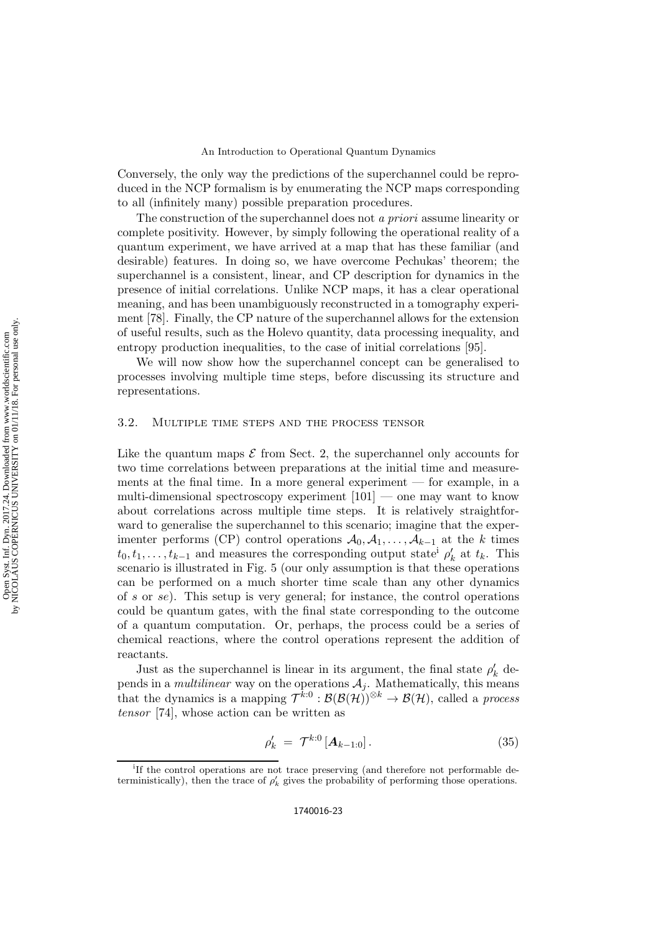Conversely, the only way the predictions of the superchannel could be reproduced in the NCP formalism is by enumerating the NCP maps corresponding to all (infinitely many) possible preparation procedures.

The construction of the superchannel does not a priori assume linearity or complete positivity. However, by simply following the operational reality of a quantum experiment, we have arrived at a map that has these familiar (and desirable) features. In doing so, we have overcome Pechukas' theorem; the superchannel is a consistent, linear, and CP description for dynamics in the presence of initial correlations. Unlike NCP maps, it has a clear operational meaning, and has been unambiguously reconstructed in a tomography experiment [78]. Finally, the CP nature of the superchannel allows for the extension of useful results, such as the Holevo quantity, data processing inequality, and entropy production inequalities, to the case of initial correlations [95].

We will now show how the superchannel concept can be generalised to processes involving multiple time steps, before discussing its structure and representations.

# 3.2. Multiple time steps and the process tensor

Like the quantum maps  $\mathcal E$  from Sect. 2, the superchannel only accounts for two time correlations between preparations at the initial time and measurements at the final time. In a more general experiment — for example, in a multi-dimensional spectroscopy experiment  $[101]$  — one may want to know about correlations across multiple time steps. It is relatively straightforward to generalise the superchannel to this scenario; imagine that the experimenter performs (CP) control operations  $A_0, A_1, \ldots, A_{k-1}$  at the k times  $t_0, t_1, \ldots, t_{k-1}$  and measures the corresponding output state<sup>i</sup>  $\rho'_k$  at  $t_k$ . This scenario is illustrated in Fig. 5 (our only assumption is that these operations can be performed on a much shorter time scale than any other dynamics of s or se). This setup is very general; for instance, the control operations could be quantum gates, with the final state corresponding to the outcome of a quantum computation. Or, perhaps, the process could be a series of chemical reactions, where the control operations represent the addition of reactants.

Just as the superchannel is linear in its argument, the final state  $\rho'_{k}$  depends in a *multilinear* way on the operations  $A_i$ . Mathematically, this means that the dynamics is a mapping  $\mathcal{T}^{k:0} : \mathcal{B}(\mathcal{B}(\mathcal{H}))^{\otimes k} \to \mathcal{B}(\mathcal{H})$ , called a process tensor [74], whose action can be written as

$$
\rho'_k = \mathcal{T}^{k:0} \left[ A_{k-1:0} \right]. \tag{35}
$$

<sup>&</sup>lt;sup>i</sup>If the control operations are not trace preserving (and therefore not performable deterministically), then the trace of  $\rho'_{k}$  gives the probability of performing those operations.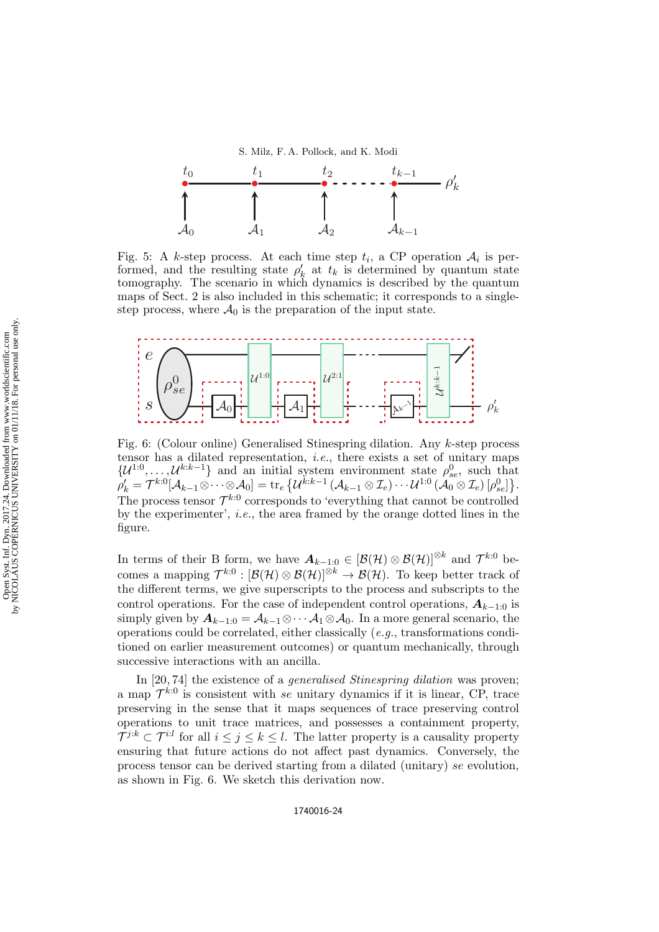

Fig. 5: A k-step process. At each time step  $t_i$ , a CP operation  $A_i$  is performed, and the resulting state  $\rho'_k$  at  $t_k$  is determined by quantum state tomography. The scenario in which dynamics is described by the quantum maps of Sect. 2 is also included in this schematic; it corresponds to a singlestep process, where  $\mathcal{A}_0$  is the preparation of the input state.



Fig. 6: (Colour online) Generalised Stinespring dilation. Any k-step process tensor has a dilated representation, i.e., there exists a set of unitary maps  $\{\mathcal{U}^{1:0}, \ldots, \mathcal{U}^{k:k-1}\}\$  and an initial system environment state  $\rho_{se}^0$ , such that  $\rho'_k = \mathcal{T}^{k:0}[\mathcal{A}_{k-1} \otimes \cdots \otimes \mathcal{A}_0] = \operatorname{tr}_e \big\{ \mathcal{U}^{k:k-1} \left( \mathcal{A}_{k-1} \otimes \mathcal{I}_e \right) \cdots \mathcal{U}^{1:0} \left( \mathcal{A}_0 \otimes \mathcal{I}_e \right) [\rho^0_{se}] \big\}.$ The process tensor  $\mathcal{T}^{k:0}$  corresponds to 'everything that cannot be controlled by the experimenter', i.e., the area framed by the orange dotted lines in the figure.

In terms of their B form, we have  $\mathbf{A}_{k-1:0} \in [\mathcal{B}(\mathcal{H}) \otimes \mathcal{B}(\mathcal{H})]^{\otimes k}$  and  $\mathcal{T}^{k:0}$  becomes a mapping  $\mathcal{T}^{k:0} : [\mathcal{B}(\mathcal{H}) \otimes \mathcal{B}(\mathcal{H})]^{\otimes k} \to \mathcal{B}(\mathcal{H})$ . To keep better track of the different terms, we give superscripts to the process and subscripts to the control operations. For the case of independent control operations,  $A_{k-1:0}$  is simply given by  $A_{k-1:0} = A_{k-1} \otimes \cdots \mathcal{A}_1 \otimes \mathcal{A}_0$ . In a more general scenario, the operations could be correlated, either classically  $(e,q)$ , transformations conditioned on earlier measurement outcomes) or quantum mechanically, through successive interactions with an ancilla.

In [20, 74] the existence of a *generalised Stinespring dilation* was proven; a map  $\mathcal{T}^{k:0}$  is consistent with se unitary dynamics if it is linear, CP, trace preserving in the sense that it maps sequences of trace preserving control operations to unit trace matrices, and possesses a containment property,  $\mathcal{T}^{j:k} \subset \mathcal{T}^{i,l}$  for all  $i \leq j \leq k \leq l$ . The latter property is a causality property ensuring that future actions do not affect past dynamics. Conversely, the process tensor can be derived starting from a dilated (unitary) se evolution, as shown in Fig. 6. We sketch this derivation now.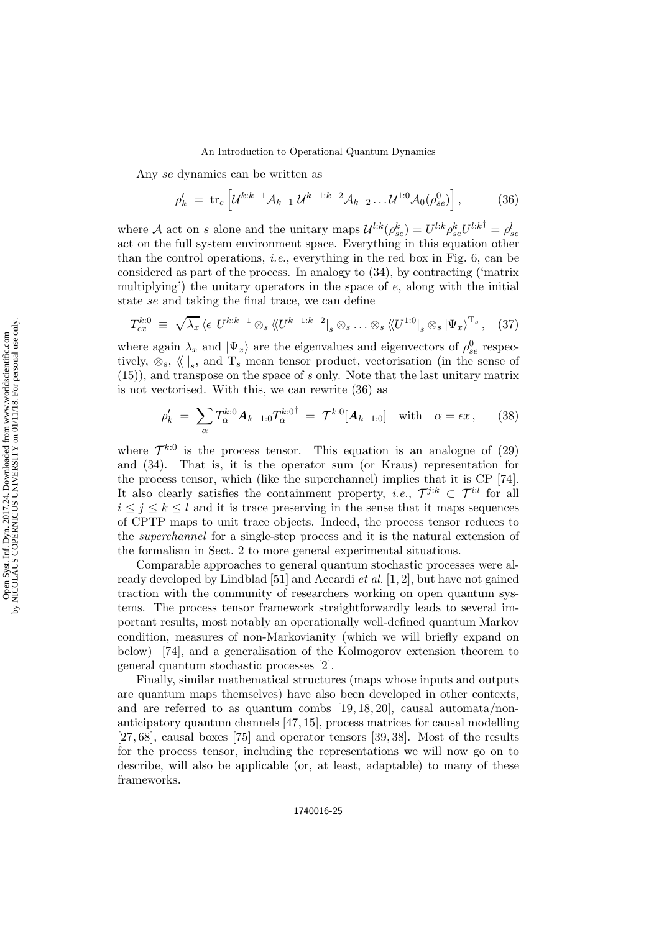Any se dynamics can be written as

$$
\rho'_k = \text{tr}_e \left[ \mathcal{U}^{k:k-1} \mathcal{A}_{k-1} \, \mathcal{U}^{k-1:k-2} \mathcal{A}_{k-2} \dots \mathcal{U}^{1:0} \mathcal{A}_0(\rho_{se}^0) \right],\tag{36}
$$

where A act on s alone and the unitary maps  $\mathcal{U}^{l:k}(\rho_{se}^k) = U^{l:k}\rho_{se}^k U^{l:k} = \rho_{se}^l$ act on the full system environment space. Everything in this equation other than the control operations, *i.e.*, everything in the red box in Fig.  $6$ , can be considered as part of the process. In analogy to (34), by contracting ('matrix multiplying') the unitary operators in the space of  $e$ , along with the initial state se and taking the final trace, we can define

$$
T_{\epsilon x}^{k:0} \equiv \sqrt{\lambda_x} \langle \epsilon | U^{k:k-1} \otimes_s \langle \langle U^{k-1:k-2} |_{s} \otimes_s \ldots \otimes_s \langle \langle U^{1:0} |_{s} \otimes_s | \Psi_x \rangle^{\mathrm{T}_s}, \quad (37)
$$

where again  $\lambda_x$  and  $|\Psi_x\rangle$  are the eigenvalues and eigenvectors of  $\rho_{se}^0$  respectively,  $\otimes_s$ ,  $\langle \langle \, |_s$ , and  $\mathrm{T}_s$  mean tensor product, vectorisation (in the sense of  $(15)$ , and transpose on the space of s only. Note that the last unitary matrix is not vectorised. With this, we can rewrite (36) as

$$
\rho'_k = \sum_{\alpha} T_{\alpha}^{k:0} A_{k-1:0} T_{\alpha}^{k:0^{\dagger}} = \mathcal{T}^{k:0} [A_{k-1:0}] \text{ with } \alpha = \epsilon x, \qquad (38)
$$

where  $\mathcal{T}^{k:0}$  is the process tensor. This equation is an analogue of (29) and (34). That is, it is the operator sum (or Kraus) representation for the process tensor, which (like the superchannel) implies that it is CP [74]. It also clearly satisfies the containment property, *i.e.*,  $\mathcal{T}^{j:k} \subset \mathcal{T}^{i:l}$  for all  $i \leq j \leq k \leq l$  and it is trace preserving in the sense that it maps sequences of CPTP maps to unit trace objects. Indeed, the process tensor reduces to the superchannel for a single-step process and it is the natural extension of the formalism in Sect. 2 to more general experimental situations.

Comparable approaches to general quantum stochastic processes were already developed by Lindblad [51] and Accardi et al. [1, 2], but have not gained traction with the community of researchers working on open quantum systems. The process tensor framework straightforwardly leads to several important results, most notably an operationally well-defined quantum Markov condition, measures of non-Markovianity (which we will briefly expand on below) [74], and a generalisation of the Kolmogorov extension theorem to general quantum stochastic processes [2].

Finally, similar mathematical structures (maps whose inputs and outputs are quantum maps themselves) have also been developed in other contexts, and are referred to as quantum combs [19, 18, 20], causal automata/nonanticipatory quantum channels [47, 15], process matrices for causal modelling [27, 68], causal boxes [75] and operator tensors [39, 38]. Most of the results for the process tensor, including the representations we will now go on to describe, will also be applicable (or, at least, adaptable) to many of these frameworks.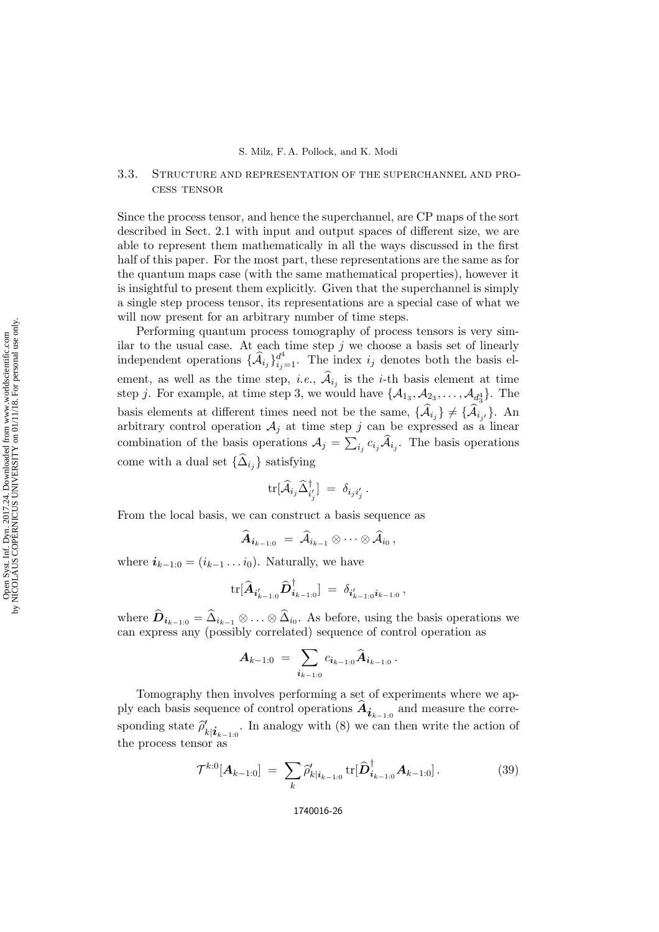# 3.3. Structure and representation of the superchannel and process tensor

Since the process tensor, and hence the superchannel, are CP maps of the sort described in Sect. 2.1 with input and output spaces of different size, we are able to represent them mathematically in all the ways discussed in the first half of this paper. For the most part, these representations are the same as for the quantum maps case (with the same mathematical properties), however it is insightful to present them explicitly. Given that the superchannel is simply a single step process tensor, its representations are a special case of what we will now present for an arbitrary number of time steps.

Performing quantum process tomography of process tensors is very similar to the usual case. At each time step  $j$  we choose a basis set of linearly independent operations  $\{\widehat{\mathcal{A}}_{i_j}\}_{i_j=1}^{d^4}$ . The index  $i_j$  denotes both the basis element, as well as the time step, *i.e.*,  $A_{i_j}$  is the *i*-th basis element at time step j. For example, at time step 3, we would have  $\{\mathcal{A}_{1_3}, \mathcal{A}_{2_3}, \ldots, \mathcal{A}_{d_3^4}\}$ . The basis elements at different times need not be the same,  $\{\mathcal{A}_{i_j}\}\neq \{\mathcal{A}_{i_{j'}}\}$ . An arbitrary control operation  $A_j$  at time step j can be expressed as a linear combination of the basis operations  $A_j = \sum_{i_j} c_{i_j} \hat{A}_{i_j}$ . The basis operations come with a dual set  $\{\Delta_{i_j}\}\$  satisfying

$$
\operatorname{tr}[\widehat{\mathcal{A}}_{i_j}\widehat{\Delta}_{i'_j}^{\dagger}] \,\, = \,\, \delta_{i_j i'_j} \, .
$$

From the local basis, we can construct a basis sequence as

$$
\widehat{\bm{A}}_{\bm{i}_{k-1:0}} \ = \ \widehat{\mathcal{A}}_{i_{k-1}} \otimes \cdots \otimes \widehat{\mathcal{A}}_{i_0} \, ,
$$

where  $\boldsymbol{i}_{k-1:0} = (i_{k-1} \dots i_0)$ . Naturally, we have

$$
\mathrm{tr}[\widehat{\pmb{A}}_{\pmb{i}^\prime_{k-1:0}} \widehat{\pmb{D}}^{\intercal}_{\pmb{i}_{k-1:0}}] \; = \; \delta_{\pmb{i}^\prime_{k-1:0} \pmb{i}_{k-1:0}} \, ,
$$

where  $D_{i_{k-1:0}} = \Delta_{i_{k-1}} \otimes \ldots \otimes \Delta_{i_0}$ . As before, using the basis operations we can express any (possibly correlated) sequence of control operation as

$$
A_{k-1:0} = \sum_{i_{k-1:0}} c_{i_{k-1:0}} \hat{A}_{i_{k-1:0}}.
$$

Tomography then involves performing a set of experiments where we apply each basis sequence of control operations  $A_{\bm{i}_{k-1:0}}$  and measure the corresponding state  $\hat{\rho}_{k|\mathbf{i}_{k-1:0}}'$ . In analogy with (8) we can then write the action of the process tensor as

$$
\mathcal{T}^{k:0}[\mathbf{A}_{k-1:0}] = \sum_{k} \widehat{\rho}_{k|i_{k-1:0}}^{\dagger} \text{tr}[\widehat{\mathbf{D}}_{i_{k-1:0}}^{\dagger} \mathbf{A}_{k-1:0}]. \tag{39}
$$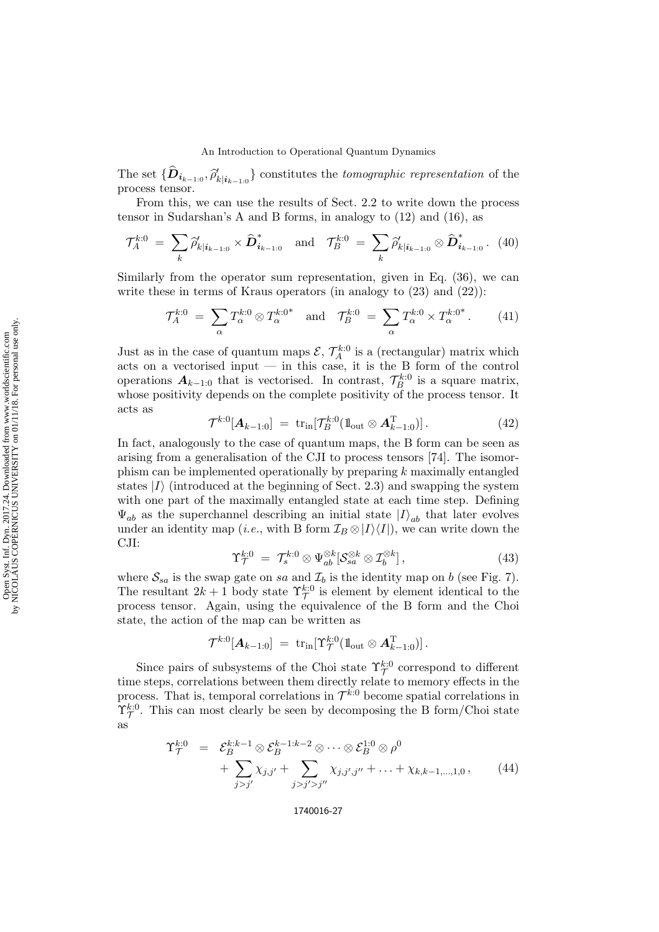The set  $\{D_{i_{k-1:0}}, \hat{\rho}_{k|i_{k-1:0}}\}$  constitutes the *tomographic representation* of the process tensor.

From this, we can use the results of Sect. 2.2 to write down the process tensor in Sudarshan's A and B forms, in analogy to (12) and (16), as

$$
\mathcal{T}_{A}^{k:0} = \sum_{k} \widehat{\rho}_{k|i_{k-1:0}}^{j} \times \widehat{\mathbf{D}}_{i_{k-1:0}}^{*} \text{ and } \mathcal{T}_{B}^{k:0} = \sum_{k} \widehat{\rho}_{k|i_{k-1:0}}^{j} \otimes \widehat{\mathbf{D}}_{i_{k-1:0}}^{*}.
$$
 (40)

Similarly from the operator sum representation, given in Eq. (36), we can write these in terms of Kraus operators (in analogy to  $(23)$  and  $(22)$ ):

$$
\mathcal{T}_A^{k:0} = \sum_{\alpha} T_{\alpha}^{k:0} \otimes T_{\alpha}^{k:0^*} \quad \text{and} \quad \mathcal{T}_B^{k:0} = \sum_{\alpha} T_{\alpha}^{k:0} \times T_{\alpha}^{k:0^*}.
$$
 (41)

Just as in the case of quantum maps  $\mathcal{E}, \mathcal{T}_A^{k:0}$  is a (rectangular) matrix which acts on a vectorised input — in this case, it is the B form of the control operations  $A_{k-1,0}$  that is vectorised. In contrast,  $\mathcal{T}_B^{k:0}$  is a square matrix, whose positivity depends on the complete positivity of the process tensor. It acts as

$$
\mathcal{T}^{k:0}[\mathbf{A}_{k-1:0}] = \text{tr}_{\text{in}}[\mathcal{T}_B^{k:0}(\mathbb{1}_{\text{out}} \otimes \mathbf{A}_{k-1:0}^{\text{T}})]. \tag{42}
$$

In fact, analogously to the case of quantum maps, the B form can be seen as arising from a generalisation of the CJI to process tensors [74]. The isomorphism can be implemented operationally by preparing k maximally entangled states  $|I\rangle$  (introduced at the beginning of Sect. 2.3) and swapping the system with one part of the maximally entangled state at each time step. Defining  $\Psi_{ab}$  as the superchannel describing an initial state  $|I\rangle_{ab}$  that later evolves under an identity map (*i.e.*, with B form  $\mathcal{I}_B \otimes |I\rangle\langle I|$ ), we can write down the CJI:

$$
\Upsilon_{\mathcal{T}}^{k:0} = \mathcal{T}_s^{k:0} \otimes \Psi_{ab}^{\otimes k} [\mathcal{S}_{sa}^{\otimes k} \otimes \mathcal{I}_{b}^{\otimes k}], \qquad (43)
$$

where  $\mathcal{S}_{sa}$  is the swap gate on sa and  $\mathcal{I}_b$  is the identity map on b (see Fig. 7). The resultant  $2k+1$  body state  $\Upsilon^{k:0}_{\mathcal{T}}$  is element by element identical to the process tensor. Again, using the equivalence of the B form and the Choi state, the action of the map can be written as

$$
{\cal T}^{k:0}[{\bm A}_{k-1:0}] \;=\; \operatorname{tr}_{\rm in}[\Upsilon_{\cal T}^{k:0}({\mathbb 1}_{\rm out}\otimes {\bm A}_{k-1:0}^{\rm T})]\,.
$$

Since pairs of subsystems of the Choi state  $\Upsilon^{k:0}_{\mathcal{T}}$  correspond to different  $T_f$  correspond to an<br>time steps, correlations between them directly relate to memory effects in the process. That is, temporal correlations in  $\mathcal{T}^{k:0}$  become spatial correlations in  $\Upsilon_{\mathcal{T}}^{k:0}$ . This can most clearly be seen by decomposing the B form/Choi state as

$$
\Upsilon_{\mathcal{T}}^{k:0} = \mathcal{E}_{B}^{k:k-1} \otimes \mathcal{E}_{B}^{k-1:k-2} \otimes \cdots \otimes \mathcal{E}_{B}^{1:0} \otimes \rho^{0} + \sum_{j > j'} \chi_{j,j'} + \sum_{j > j' > j''} \chi_{j,j',j''} + \cdots + \chi_{k,k-1,\dots,1,0},
$$
(44)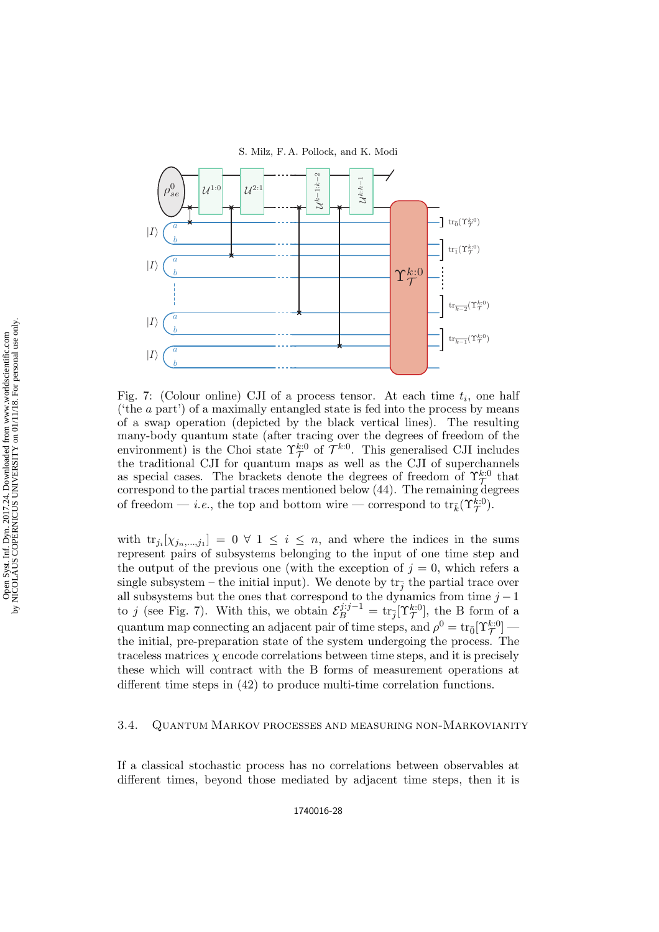

Fig. 7: (Colour online) CJI of a process tensor. At each time  $t_i$ , one half ('the a part') of a maximally entangled state is fed into the process by means of a swap operation (depicted by the black vertical lines). The resulting many-body quantum state (after tracing over the degrees of freedom of the environment) is the Choi state  $\Upsilon_{\mathcal{T}}^{k:0}$  of  $\mathcal{T}^{k:0}$ . This generalised CJI includes  $\frac{1}{\sqrt{1-\frac{1}{\sqrt{1-\frac{1}{\sqrt{1-\frac{1}{\sqrt{1-\frac{1}{\sqrt{1-\frac{1}{\sqrt{1-\frac{1}{\sqrt{1-\frac{1}{\sqrt{1-\frac{1}{\sqrt{1-\frac{1}{\sqrt{1-\frac{1}{\sqrt{1-\frac{1}{\sqrt{1-\frac{1}{\sqrt{1-\frac{1}{\sqrt{1-\frac{1}{\sqrt{1-\frac{1}{\sqrt{1-\frac{1}{\sqrt{1-\frac{1}{\sqrt{1-\frac{1}{\sqrt{1-\frac{1}{\sqrt{1-\frac{1}{\sqrt{1-\frac{1}{\sqrt{1-\frac{1}{\sqrt{1-\frac{1}{\sqrt{1-\frac{1$ as special cases. The brackets denote the degrees of freedom of  $\Upsilon_{\tau}^{k:0}$  that  $T_{\text{S}}$  correspond to the partial traces mentioned below  $(44)$ . The remaining degrees of freedom — *i.e.*, the top and bottom wire — correspond to  $\text{tr}_{\bar{k}}(\Upsilon^{k:0}_{\mathcal{T}})$ .

with  $\text{tr}_{j_i}[\chi_{j_n,...,j_1}] = 0 \ \forall \ 1 \leq i \leq n$ , and where the indices in the sums represent pairs of subsystems belonging to the input of one time step and the output of the previous one (with the exception of  $j = 0$ , which refers a single subsystem – the initial input). We denote by  $\text{tr}_{\bar{j}}$  the partial trace over all subsystems but the ones that correspond to the dynamics from time  $j-1$ to j (see Fig. 7). With this, we obtain  $\mathcal{E}_B^{j:j-1} = \text{tr}_{\overline{j}}[\Upsilon_{\overline{j}}^{k:0}],$  the B form of a quantum map connecting an adjacent pair of time steps, and  $\rho^0 = \text{tr}_{\bar{0}}[\Upsilon^{k:0}_\mathcal{T}]$  $T_{\text{total}}$  and  $T_{\text{total}}$  is the system of the system undergoing the process. The traceless matrices  $\chi$  encode correlations between time steps, and it is precisely these which will contract with the B forms of measurement operations at different time steps in (42) to produce multi-time correlation functions.

## 3.4. Quantum Markov processes and measuring non-Markovianity

If a classical stochastic process has no correlations between observables at different times, beyond those mediated by adjacent time steps, then it is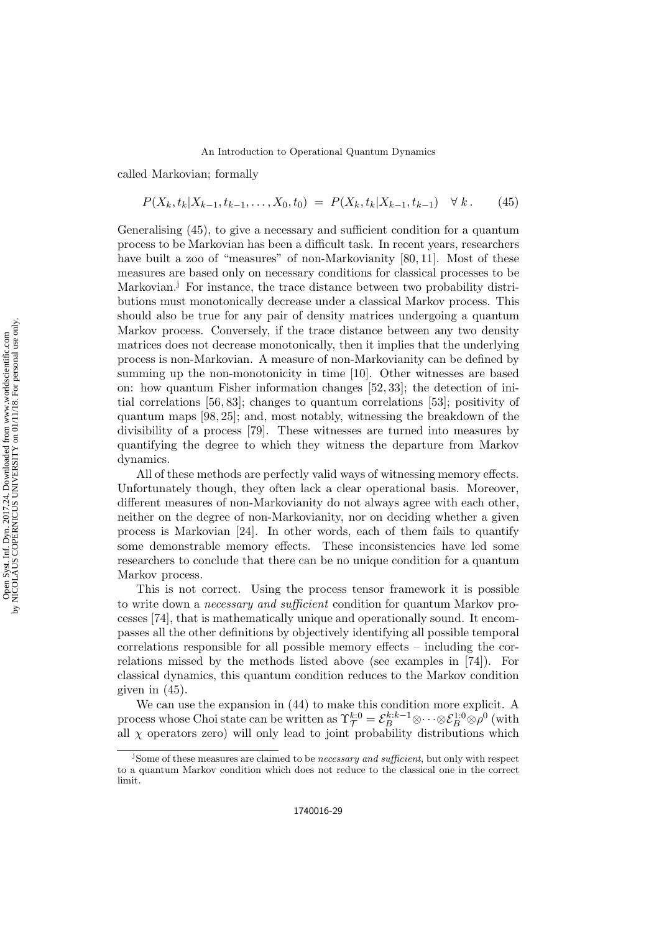called Markovian; formally

$$
P(X_k, t_k | X_{k-1}, t_{k-1}, \dots, X_0, t_0) = P(X_k, t_k | X_{k-1}, t_{k-1}) \quad \forall \ k. \tag{45}
$$

Generalising (45), to give a necessary and sufficient condition for a quantum process to be Markovian has been a difficult task. In recent years, researchers have built a zoo of "measures" of non-Markovianity [80, 11]. Most of these measures are based only on necessary conditions for classical processes to be Markovian.<sup>j</sup> For instance, the trace distance between two probability distributions must monotonically decrease under a classical Markov process. This should also be true for any pair of density matrices undergoing a quantum Markov process. Conversely, if the trace distance between any two density matrices does not decrease monotonically, then it implies that the underlying process is non-Markovian. A measure of non-Markovianity can be defined by summing up the non-monotonicity in time [10]. Other witnesses are based on: how quantum Fisher information changes [52, 33]; the detection of initial correlations [56, 83]; changes to quantum correlations [53]; positivity of quantum maps [98, 25]; and, most notably, witnessing the breakdown of the divisibility of a process [79]. These witnesses are turned into measures by quantifying the degree to which they witness the departure from Markov dynamics.

All of these methods are perfectly valid ways of witnessing memory effects. Unfortunately though, they often lack a clear operational basis. Moreover, different measures of non-Markovianity do not always agree with each other, neither on the degree of non-Markovianity, nor on deciding whether a given process is Markovian [24]. In other words, each of them fails to quantify some demonstrable memory effects. These inconsistencies have led some researchers to conclude that there can be no unique condition for a quantum Markov process.

This is not correct. Using the process tensor framework it is possible to write down a necessary and sufficient condition for quantum Markov processes [74], that is mathematically unique and operationally sound. It encompasses all the other definitions by objectively identifying all possible temporal correlations responsible for all possible memory effects – including the correlations missed by the methods listed above (see examples in [74]). For classical dynamics, this quantum condition reduces to the Markov condition given in (45).

We can use the expansion in (44) to make this condition more explicit. A process whose Choi state can be written as  $\Upsilon_{\mathcal{T}}^{k:0} = \mathcal{E}_{B}^{k:k-1} \otimes \cdots \otimes \mathcal{E}_{B}^{1:0} \otimes \rho^0$  (with all  $\chi$  operators zero) will only lead to joint probability distributions which

<sup>&</sup>lt;sup>j</sup>Some of these measures are claimed to be *necessary and sufficient*, but only with respect to a quantum Markov condition which does not reduce to the classical one in the correct limit.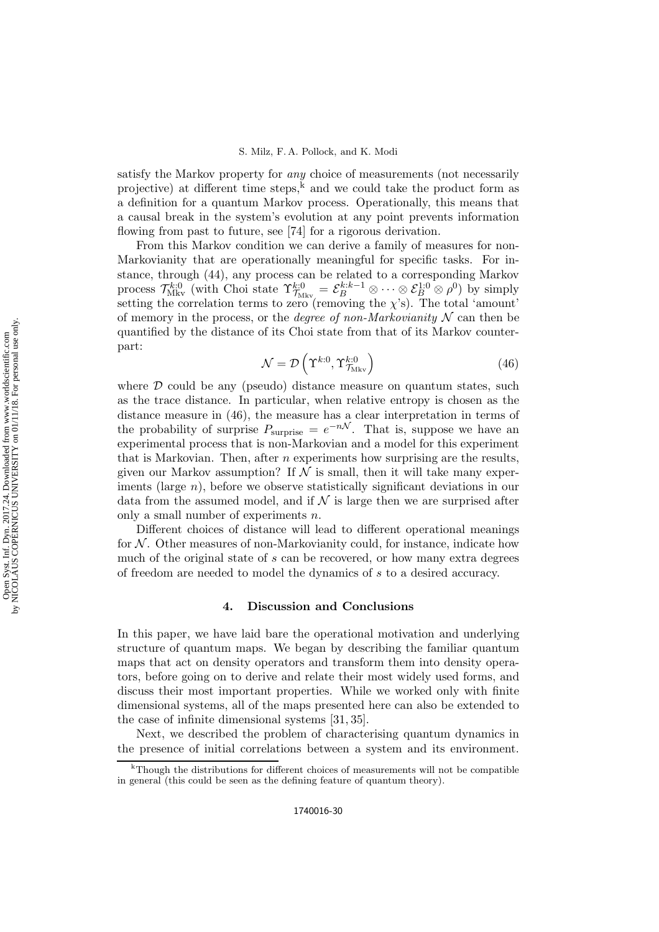satisfy the Markov property for *any* choice of measurements (not necessarily projective) at different time steps,<sup>k</sup> and we could take the product form as a definition for a quantum Markov process. Operationally, this means that a causal break in the system's evolution at any point prevents information flowing from past to future, see [74] for a rigorous derivation.

From this Markov condition we can derive a family of measures for non-Markovianity that are operationally meaningful for specific tasks. For instance, through (44), any process can be related to a corresponding Markov process  $\mathcal{T}_{\text{Mkv}}^{k:0}$  (with Choi state  $\Upsilon_{\mathcal{T}_{\text{Mkv}}}^{k:0} = \mathcal{E}_{B}^{k:k-1} \otimes \cdots \otimes \mathcal{E}_{B}^{1:0} \otimes \rho^{0}$ ) by simply setting the correlation terms to zero (removing the  $\chi$ 's). The total 'amount' of memory in the process, or the *degree of non-Markovianity*  $N$  can then be quantified by the distance of its Choi state from that of its Markov counterpart:

$$
\mathcal{N} = \mathcal{D}\left(\Upsilon^{k:0}, \Upsilon^{k:0}_{\mathcal{T}_{\text{Mkv}}}\right) \tag{46}
$$

where  $\mathcal D$  could be any (pseudo) distance measure on quantum states, such as the trace distance. In particular, when relative entropy is chosen as the distance measure in (46), the measure has a clear interpretation in terms of the probability of surprise  $P_{\text{surprise}} = e^{-n\mathcal{N}}$ . That is, suppose we have an experimental process that is non-Markovian and a model for this experiment that is Markovian. Then, after  $n$  experiments how surprising are the results, given our Markov assumption? If  $N$  is small, then it will take many experiments (large  $n$ ), before we observe statistically significant deviations in our data from the assumed model, and if  $N$  is large then we are surprised after only a small number of experiments n.

Different choices of distance will lead to different operational meanings for  $N$ . Other measures of non-Markovianity could, for instance, indicate how much of the original state of s can be recovered, or how many extra degrees of freedom are needed to model the dynamics of s to a desired accuracy.

# 4. Discussion and Conclusions

In this paper, we have laid bare the operational motivation and underlying structure of quantum maps. We began by describing the familiar quantum maps that act on density operators and transform them into density operators, before going on to derive and relate their most widely used forms, and discuss their most important properties. While we worked only with finite dimensional systems, all of the maps presented here can also be extended to the case of infinite dimensional systems [31, 35].

Next, we described the problem of characterising quantum dynamics in the presence of initial correlations between a system and its environment.

<sup>&</sup>lt;sup>k</sup>Though the distributions for different choices of measurements will not be compatible in general (this could be seen as the defining feature of quantum theory).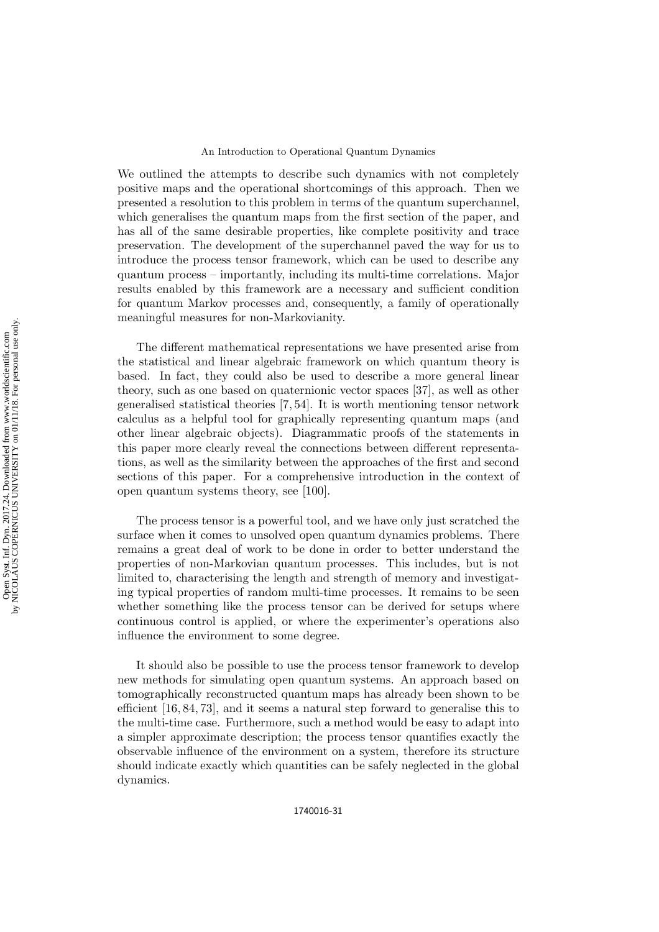We outlined the attempts to describe such dynamics with not completely positive maps and the operational shortcomings of this approach. Then we presented a resolution to this problem in terms of the quantum superchannel, which generalises the quantum maps from the first section of the paper, and has all of the same desirable properties, like complete positivity and trace preservation. The development of the superchannel paved the way for us to introduce the process tensor framework, which can be used to describe any quantum process – importantly, including its multi-time correlations. Major results enabled by this framework are a necessary and sufficient condition for quantum Markov processes and, consequently, a family of operationally meaningful measures for non-Markovianity.

The different mathematical representations we have presented arise from the statistical and linear algebraic framework on which quantum theory is based. In fact, they could also be used to describe a more general linear theory, such as one based on quaternionic vector spaces [37], as well as other generalised statistical theories [7, 54]. It is worth mentioning tensor network calculus as a helpful tool for graphically representing quantum maps (and other linear algebraic objects). Diagrammatic proofs of the statements in this paper more clearly reveal the connections between different representations, as well as the similarity between the approaches of the first and second sections of this paper. For a comprehensive introduction in the context of open quantum systems theory, see [100].

The process tensor is a powerful tool, and we have only just scratched the surface when it comes to unsolved open quantum dynamics problems. There remains a great deal of work to be done in order to better understand the properties of non-Markovian quantum processes. This includes, but is not limited to, characterising the length and strength of memory and investigating typical properties of random multi-time processes. It remains to be seen whether something like the process tensor can be derived for setups where continuous control is applied, or where the experimenter's operations also influence the environment to some degree.

It should also be possible to use the process tensor framework to develop new methods for simulating open quantum systems. An approach based on tomographically reconstructed quantum maps has already been shown to be efficient [16, 84, 73], and it seems a natural step forward to generalise this to the multi-time case. Furthermore, such a method would be easy to adapt into a simpler approximate description; the process tensor quantifies exactly the observable influence of the environment on a system, therefore its structure should indicate exactly which quantities can be safely neglected in the global dynamics.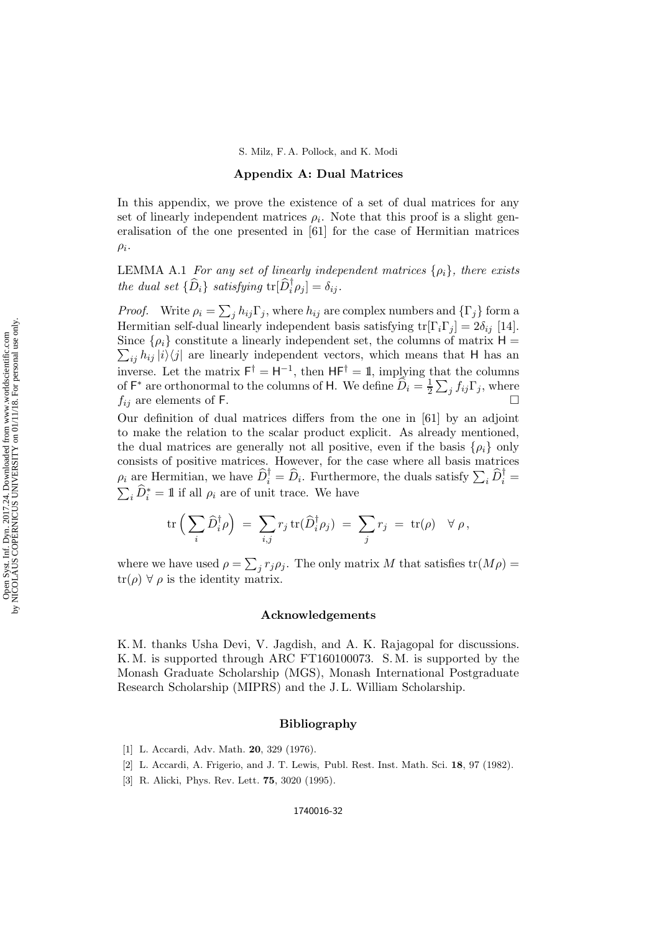## Appendix A: Dual Matrices

In this appendix, we prove the existence of a set of dual matrices for any set of linearly independent matrices  $\rho_i$ . Note that this proof is a slight generalisation of the one presented in [61] for the case of Hermitian matrices  $\rho_i$ .

LEMMA A.1 For any set of linearly independent matrices  $\{\rho_i\}$ , there exists the dual set  $\{D_i\}$  satisfying  $tr[D_i^{\dagger} \rho_j] = \delta_{ij}$ .

*Proof.* Write  $\rho_i = \sum_j h_{ij} \Gamma_j$ , where  $h_{ij}$  are complex numbers and  $\{\Gamma_j\}$  form a Hermitian self-dual linearly independent basis satisfying  $tr[\Gamma_i \Gamma_j] = 2\delta_{ij}$  [14]. Since  $\{\rho_i\}$  constitute a linearly independent set, the columns of matrix  $H =$  $\sum_{ij} h_{ij} |i\rangle\langle j|$  are linearly independent vectors, which means that H has an inverse. Let the matrix  $F^{\dagger} = H^{-1}$ , then  $HF^{\dagger} = \mathbb{1}$ , implying that the columns of  $\mathsf{F}^*$  are orthonormal to the columns of H. We define  $\widehat{D}_i = \frac{1}{2}$  $\frac{1}{2} \sum_j f_{ij} \Gamma_j$ , where  $f_{ij}$  are elements of F.

Our definition of dual matrices differs from the one in [61] by an adjoint to make the relation to the scalar product explicit. As already mentioned, the dual matrices are generally not all positive, even if the basis  $\{\rho_i\}$  only consists of positive matrices. However, for the case where all basis matrices  $\rho_i$  are Hermitian, we have  $\widehat{D}_i^{\dagger} = \widehat{D}_i$ . Furthermore, the duals satisfy  $\sum_i \widehat{D}_i^{\dagger} =$ <br> $\sum_i \widehat{D}_i^* = 1$  if all  $\rho_i$  are of unit trace. We have  $i_i D_i^* = 1$  if all  $\rho_i$  are of unit trace. We have

$$
\text{tr}\left(\sum_i \widehat{D}_i^{\dagger} \rho\right) \ = \ \sum_{i,j} r_j \, \text{tr}(\widehat{D}_i^{\dagger} \rho_j) \ = \ \sum_j r_j \ = \ \text{tr}(\rho) \quad \forall \ \rho \, ,
$$

where we have used  $\rho = \sum_j r_j \rho_j$ . The only matrix M that satisfies  $tr(M\rho)$  =  $tr(\rho) \forall \rho$  is the identity matrix.

# Acknowledgements

K. M. thanks Usha Devi, V. Jagdish, and A. K. Rajagopal for discussions. K. M. is supported through ARC FT160100073. S. M. is supported by the Monash Graduate Scholarship (MGS), Monash International Postgraduate Research Scholarship (MIPRS) and the J. L. William Scholarship.

# Bibliography

- [1] L. Accardi, Adv. Math. 20, 329 (1976).
- [2] L. Accardi, A. Frigerio, and J. T. Lewis, Publ. Rest. Inst. Math. Sci. 18, 97 (1982).
- [3] R. Alicki, Phys. Rev. Lett. **75**, 3020 (1995).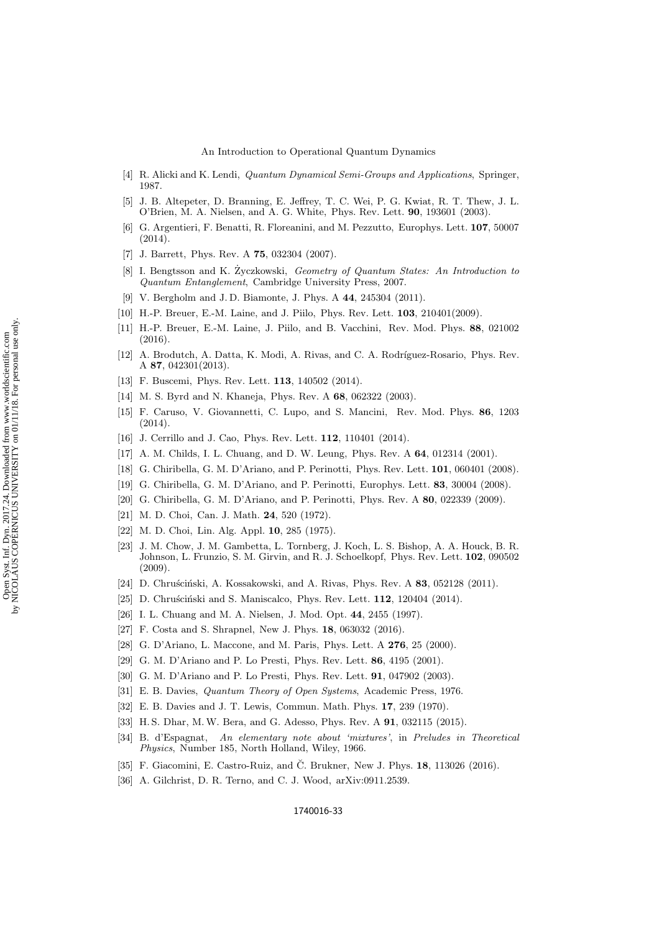- [4] R. Alicki and K. Lendi, Quantum Dynamical Semi-Groups and Applications, Springer, 1987.
- [5] J. B. Altepeter, D. Branning, E. Jeffrey, T. C. Wei, P. G. Kwiat, R. T. Thew, J. L. O'Brien, M. A. Nielsen, and A. G. White, Phys. Rev. Lett. 90, 193601 (2003).
- [6] G. Argentieri, F. Benatti, R. Floreanini, and M. Pezzutto, Europhys. Lett. 107, 50007 (2014).
- [7] J. Barrett, Phys. Rev. A **75**, 032304 (2007).
- [8] I. Bengtsson and K. Życzkowski, Geometry of Quantum States: An Introduction to Quantum Entanglement, Cambridge University Press, 2007.
- [9] V. Bergholm and J.D. Biamonte, J. Phys. A 44, 245304 (2011).
- [10] H.-P. Breuer, E.-M. Laine, and J. Piilo, Phys. Rev. Lett. **103**, 210401(2009).
- [11] H.-P. Breuer, E.-M. Laine, J. Piilo, and B. Vacchini, Rev. Mod. Phys. 88, 021002 (2016).
- [12] A. Brodutch, A. Datta, K. Modi, A. Rivas, and C. A. Rodríguez-Rosario, Phys. Rev. A 87, 042301(2013).
- [13] F. Buscemi, Phys. Rev. Lett. 113, 140502 (2014).
- [14] M. S. Byrd and N. Khaneja, Phys. Rev. A 68, 062322 (2003).
- [15] F. Caruso, V. Giovannetti, C. Lupo, and S. Mancini, Rev. Mod. Phys. 86, 1203 (2014).
- [16] J. Cerrillo and J. Cao, Phys. Rev. Lett. **112**, 110401 (2014).
- [17] A. M. Childs, I. L. Chuang, and D. W. Leung, Phys. Rev. A 64, 012314 (2001).
- [18] G. Chiribella, G. M. D'Ariano, and P. Perinotti, Phys. Rev. Lett. **101**, 060401 (2008).
- [19] G. Chiribella, G. M. D'Ariano, and P. Perinotti, Europhys. Lett. 83, 30004 (2008).
- [20] G. Chiribella, G. M. D'Ariano, and P. Perinotti, Phys. Rev. A 80, 022339 (2009).
- [21] M. D. Choi, Can. J. Math. **24**, 520 (1972).
- [22] M. D. Choi, Lin. Alg. Appl. **10**, 285 (1975).
- [23] J. M. Chow, J. M. Gambetta, L. Tornberg, J. Koch, L. S. Bishop, A. A. Houck, B. R. Johnson, L. Frunzio, S. M. Girvin, and R. J. Schoelkopf, Phys. Rev. Lett. 102, 090502 (2009).
- [24] D. Chruściński, A. Kossakowski, and A. Rivas, Phys. Rev. A  $83$ , 052128 (2011).
- [25] D. Chruściński and S. Maniscalco, Phys. Rev. Lett. 112, 120404 (2014).
- [26] I. L. Chuang and M. A. Nielsen, J. Mod. Opt. 44, 2455 (1997).
- [27] F. Costa and S. Shrapnel, New J. Phys. 18, 063032 (2016).
- [28] G. D'Ariano, L. Maccone, and M. Paris, Phys. Lett. A **276**, 25 (2000).
- [29] G. M. D'Ariano and P. Lo Presti, Phys. Rev. Lett. **86**, 4195 (2001).
- [30] G. M. D'Ariano and P. Lo Presti, Phys. Rev. Lett. **91**, 047902 (2003).
- [31] E. B. Davies, Quantum Theory of Open Systems, Academic Press, 1976.
- [32] E. B. Davies and J. T. Lewis, Commun. Math. Phys. 17, 239 (1970).
- [33] H. S. Dhar, M. W. Bera, and G. Adesso, Phys. Rev. A **91**, 032115 (2015).
- [34] B. d'Espagnat, An elementary note about 'mixtures', in Preludes in Theoretical Physics, Number 185, North Holland, Wiley, 1966.
- [35] F. Giacomini, E. Castro-Ruiz, and Č. Brukner, New J. Phys. 18, 113026 (2016).
- [36] A. Gilchrist, D. R. Terno, and C. J. Wood, arXiv:0911.2539.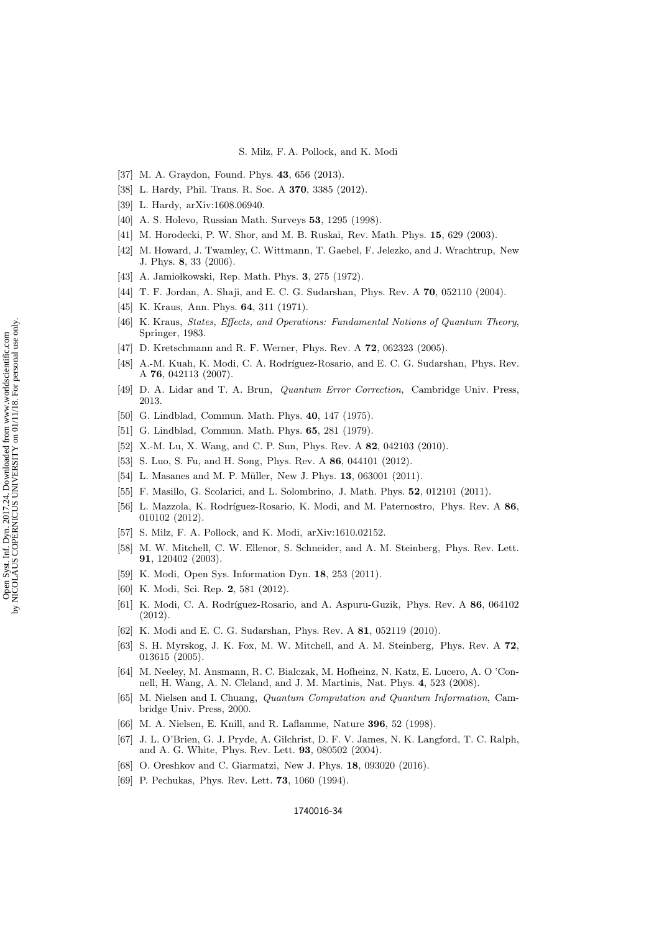- S. Milz, F. A. Pollock, and K. Modi
- [37] M. A. Graydon, Found. Phys. **43**, 656 (2013).
- [38] L. Hardy, Phil. Trans. R. Soc. A 370, 3385 (2012).
- [39] L. Hardy, arXiv:1608.06940.
- [40] A. S. Holevo, Russian Math. Surveys 53, 1295 (1998).
- [41] M. Horodecki, P. W. Shor, and M. B. Ruskai, Rev. Math. Phys. **15**, 629 (2003).
- [42] M. Howard, J. Twamley, C. Wittmann, T. Gaebel, F. Jelezko, and J. Wrachtrup, New J. Phys. 8, 33 (2006).
- [43] A. Jamiołkowski, Rep. Math. Phys. 3, 275 (1972).
- [44] T. F. Jordan, A. Shaji, and E. C. G. Sudarshan, Phys. Rev. A 70, 052110 (2004).
- [45] K. Kraus, Ann. Phys. **64**, 311 (1971).
- [46] K. Kraus, States, Effects, and Operations: Fundamental Notions of Quantum Theory, Springer, 1983.
- [47] D. Kretschmann and R. F. Werner, Phys. Rev. A **72**, 062323 (2005).
- [48] A.-M. Kuah, K. Modi, C. A. Rodríguez-Rosario, and E. C. G. Sudarshan, Phys. Rev. A 76, 042113 (2007).
- [49] D. A. Lidar and T. A. Brun, Quantum Error Correction, Cambridge Univ. Press, 2013.
- [50] G. Lindblad, Commun. Math. Phys. **40**, 147 (1975).
- [51] G. Lindblad, Commun. Math. Phys. **65**, 281 (1979).
- [52] X.-M. Lu, X. Wang, and C. P. Sun, Phys. Rev. A **82**, 042103 (2010).
- [53] S. Luo, S. Fu, and H. Song, Phys. Rev. A 86, 044101 (2012).
- [54] L. Masanes and M. P. Müller, New J. Phys. 13, 063001 (2011).
- [55] F. Masillo, G. Scolarici, and L. Solombrino, J. Math. Phys. 52, 012101 (2011).
- [56] L. Mazzola, K. Rodríguez-Rosario, K. Modi, and M. Paternostro, Phys. Rev. A 86. 010102 (2012).
- [57] S. Milz, F. A. Pollock, and K. Modi, arXiv:1610.02152.
- [58] M. W. Mitchell, C. W. Ellenor, S. Schneider, and A. M. Steinberg, Phys. Rev. Lett. 91, 120402 (2003).
- [59] K. Modi, Open Sys. Information Dyn. 18, 253 (2011).
- [60] K. Modi, Sci. Rep. 2, 581 (2012).
- [61] K. Modi, C. A. Rodríguez-Rosario, and A. Aspuru-Guzik, Phys. Rev. A 86, 064102 (2012).
- [62] K. Modi and E. C. G. Sudarshan, Phys. Rev. A 81, 052119 (2010).
- [63] S. H. Myrskog, J. K. Fox, M. W. Mitchell, and A. M. Steinberg, Phys. Rev. A 72, 013615 (2005).
- [64] M. Neeley, M. Ansmann, R. C. Bialczak, M. Hofheinz, N. Katz, E. Lucero, A. O 'Connell, H. Wang, A. N. Cleland, and J. M. Martinis, Nat. Phys. 4, 523 (2008).
- [65] M. Nielsen and I. Chuang, Quantum Computation and Quantum Information, Cambridge Univ. Press, 2000.
- [66] M. A. Nielsen, E. Knill, and R. Laflamme, Nature 396, 52 (1998).
- [67] J. L. O'Brien, G. J. Pryde, A. Gilchrist, D. F. V. James, N. K. Langford, T. C. Ralph, and A. G. White, Phys. Rev. Lett. 93, 080502 (2004).
- [68] O. Oreshkov and C. Giarmatzi, New J. Phys. 18, 093020 (2016).
- [69] P. Pechukas, Phys. Rev. Lett. **73**, 1060 (1994).